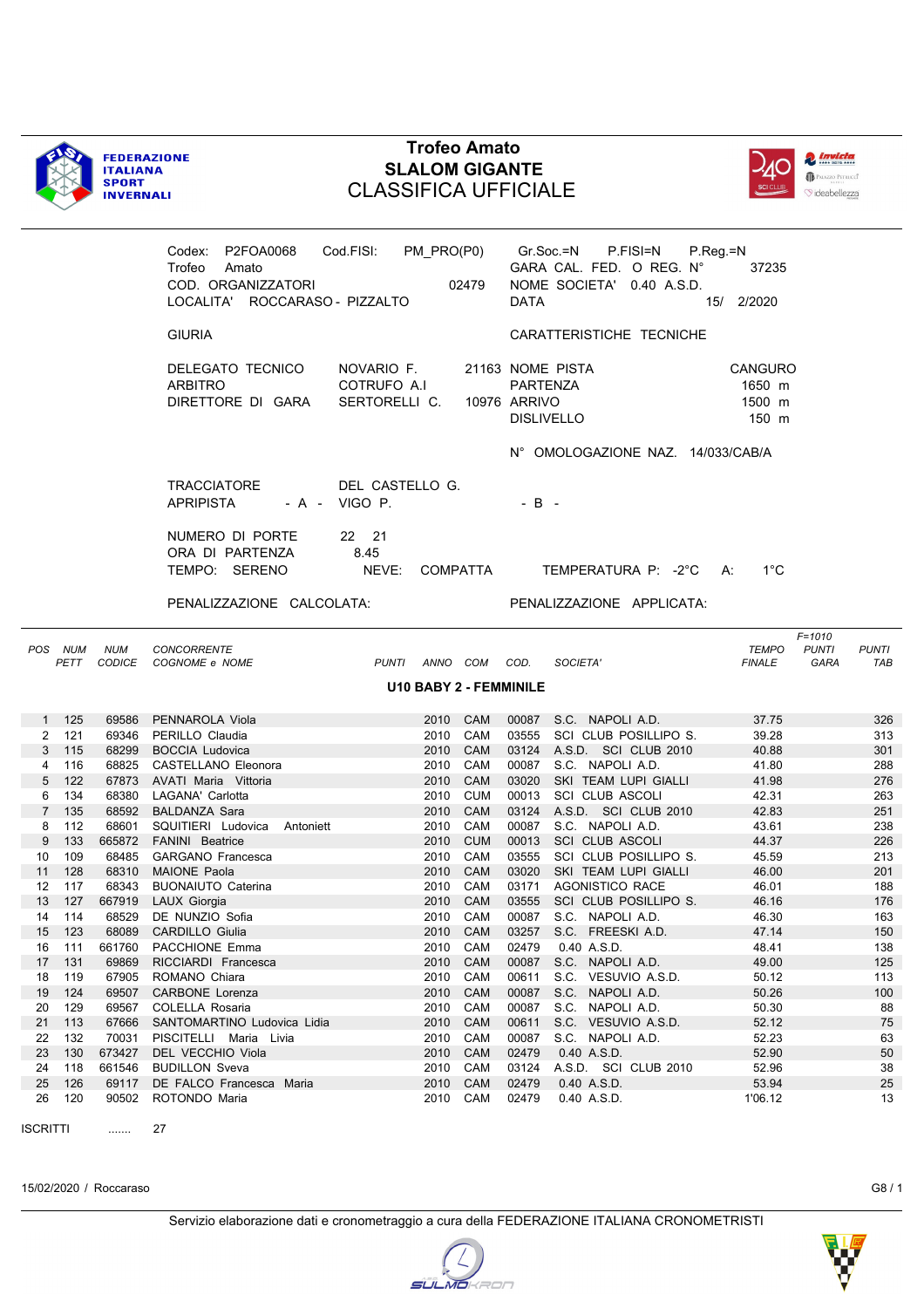



|             |                  |                 | Codex: P2FOA0068<br>Trofeo<br>Amato<br>COD. ORGANIZZATORI<br>LOCALITA' ROCCARASO - PIZZALTO | Cod.FISI: PM_PRO(P0)<br>02479              | Gr.Soc.=N P.FISI=N P.Reg.=N<br>GARA CAL. FED. O REG. N°<br>NOME SOCIETA' 0.40 A.S.D.<br><b>DATA</b> | 37235<br>15/ 2/2020                                   |                     |
|-------------|------------------|-----------------|---------------------------------------------------------------------------------------------|--------------------------------------------|-----------------------------------------------------------------------------------------------------|-------------------------------------------------------|---------------------|
|             |                  |                 | <b>GIURIA</b>                                                                               |                                            | CARATTERISTICHE TECNICHE                                                                            |                                                       |                     |
|             |                  |                 | DELEGATO TECNICO<br><b>ARBITRO</b><br>DIRETTORE DI GARA                                     | NOVARIO F.<br>COTRUFO A.I<br>SERTORELLI C. | 21163 NOME PISTA<br>PARTENZA<br>10976 ARRIVO<br><b>DISLIVELLO</b>                                   | CANGURO<br>1650 m<br>1500 m<br>150 m                  |                     |
|             |                  |                 |                                                                                             |                                            | N° OMOLOGAZIONE NAZ. 14/033/CAB/A                                                                   |                                                       |                     |
|             |                  |                 | <b>TRACCIATORE</b><br><b>APRIPISTA</b>                                                      | DEL CASTELLO G.<br>- A - VIGO P.           | $-B -$                                                                                              |                                                       |                     |
|             |                  |                 | NUMERO DI PORTE<br>ORA DI PARTENZA<br>TEMPO: SERENO                                         | 22 21<br>8.45<br>NEVE:<br>COMPATTA         | TEMPERATURA P: -2°C A:                                                                              | $1^{\circ}$ C                                         |                     |
|             |                  |                 | PENALIZZAZIONE CALCOLATA:                                                                   |                                            | PENALIZZAZIONE APPLICATA:                                                                           |                                                       |                     |
|             | POS NUM<br>PETT  | <b>NUM</b>      | <b>CONCORRENTE</b><br>CODICE COGNOME e NOME                                                 | PUNTI ANNO COM COD.                        | SOCIETA'                                                                                            | $F = 1010$<br>TEMPO<br><b>PUNTI</b><br>FINALE<br>GARA | <b>PUNTI</b><br>TAB |
|             |                  |                 |                                                                                             |                                            |                                                                                                     |                                                       |                     |
|             |                  |                 |                                                                                             | U10 BABY 2 - FEMMINILE                     |                                                                                                     |                                                       |                     |
|             |                  | 69586           | PENNAROLA Viola                                                                             | 2010<br><b>CAM</b>                         | 00087<br>S.C. NAPOLIA.D.                                                                            | 37.75                                                 | 326                 |
|             | $1 125$<br>2 121 |                 | 69346 PERILLO Claudia                                                                       | 2010 CAM                                   | 03555 SCI CLUB POSILLIPO S.                                                                         | 39.28                                                 | 313                 |
|             | 3 115            | 68299           | <b>BOCCIA Ludovica</b>                                                                      | CAM<br>2010                                | 03124 A.S.D. SCI CLUB 2010                                                                          | 40.88                                                 | 301                 |
| 4           | 116              |                 | 68825 CASTELLANO Eleonora                                                                   | 2010 CAM                                   | 00087 S.C. NAPOLI A.D.                                                                              | 41.80                                                 | 288                 |
| 5           | 122              |                 | 67873 AVATI Maria Vittoria                                                                  | CAM<br>2010                                | 03020<br>SKI TEAM LUPI GIALLI                                                                       | 41.98                                                 | 276                 |
| 6           | 134              |                 | 68380 LAGANA' Carlotta                                                                      | <b>CUM</b><br>2010                         | 00013 SCI CLUB ASCOLI                                                                               | 42.31                                                 | 263                 |
| $7^{\circ}$ | 135              |                 | 68592 BALDANZA Sara                                                                         | <b>CAM</b><br>2010                         | 03124 A.S.D. SCI CLUB 2010                                                                          | 42.83                                                 | 251                 |
| 8           | 112              | 68601           | SQUITIERI Ludovica Antoniett                                                                | 2010<br>CAM                                | 00087<br>S.C. NAPOLI A.D.                                                                           | 43.61                                                 | 238                 |
| 9           | 133              |                 | 665872 FANINI Beatrice                                                                      | <b>CUM</b><br>2010                         | 00013<br><b>SCI CLUB ASCOLI</b>                                                                     | 44.37                                                 | 226                 |
| 10<br>11    | 109<br>128       |                 | 68485 GARGANO Francesca<br>68310 MAIONE Paola                                               | 2010<br>CAM<br>CAM<br>2010                 | 03555 SCI CLUB POSILLIPO S.<br>03020<br>SKI TEAM LUPI GIALLI                                        | 45.59                                                 | 213<br>201          |
| 12          | 117              | 68343           | <b>BUONAIUTO Caterina</b>                                                                   | 2010<br>CAM                                | 03171<br><b>AGONISTICO RACE</b>                                                                     | 46.00<br>46.01                                        | 188                 |
| 13          | 127              |                 | 667919 LAUX Giorgia                                                                         | CAM<br>2010                                | SCI CLUB POSILLIPO S.<br>03555                                                                      | 46.16                                                 | 176                 |
| 14          | 114              |                 | 68529 DE NUNZIO Sofia                                                                       | 2010 CAM                                   | 00087 S.C. NAPOLI A.D.                                                                              | 46.30                                                 | 163                 |
| 15          | 123              |                 | 68089 CARDILLO Giulia                                                                       | 2010 CAM                                   | 03257<br>S.C. FREESKI A.D.                                                                          | 47.14                                                 | 150                 |
| 16          | 111              | 661760          | PACCHIONE Emma                                                                              | 2010<br>CAM                                | 02479<br>0.40 A.S.D.                                                                                | 48.41                                                 | 138                 |
| 17          | 131              | 69869           | RICCIARDI Francesca                                                                         | 2010<br>CAM                                | 00087<br>S.C. NAPOLI A.D.                                                                           | 49.00                                                 | 125                 |
| 18          | 119              | 67905           | ROMANO Chiara                                                                               | CAM<br>2010                                | 00611<br>S.C. VESUVIO A.S.D.                                                                        | 50.12                                                 | 113                 |
| 19          | 124              | 69507           | <b>CARBONE Lorenza</b>                                                                      | 2010<br>CAM                                | 00087<br>S.C. NAPOLI A.D.                                                                           | 50.26                                                 | 100                 |
| 20          | 129              | 69567           | COLELLA Rosaria                                                                             | CAM<br>2010                                | 00087<br>S.C. NAPOLI A.D.                                                                           | 50.30                                                 | 88                  |
| 21          | 113              | 67666           | SANTOMARTINO Ludovica Lidia                                                                 | 2010<br>CAM                                | 00611<br>S.C. VESUVIO A.S.D.                                                                        | 52.12                                                 | 75                  |
| 22<br>23    | 132<br>130       | 70031<br>673427 | PISCITELLI Maria Livia<br>DEL VECCHIO Viola                                                 | 2010<br>CAM<br>CAM                         | 00087<br>S.C. NAPOLI A.D.<br>02479<br>0.40 A.S.D.                                                   | 52.23<br>52.90                                        | 63<br>50            |
| 24          | 118              | 661546          | <b>BUDILLON Sveva</b>                                                                       | 2010<br>CAM<br>2010                        | A.S.D. SCI CLUB 2010<br>03124                                                                       | 52.96                                                 | 38                  |
| 25          | 126              | 69117           | DE FALCO Francesca Maria                                                                    | CAM<br>2010                                | 02479<br>0.40 A.S.D.                                                                                | 53.94                                                 | 25                  |

ISCRITTI ....... 27

15/02/2020 / Roccaraso G8 / 1

**SULMO**KRON

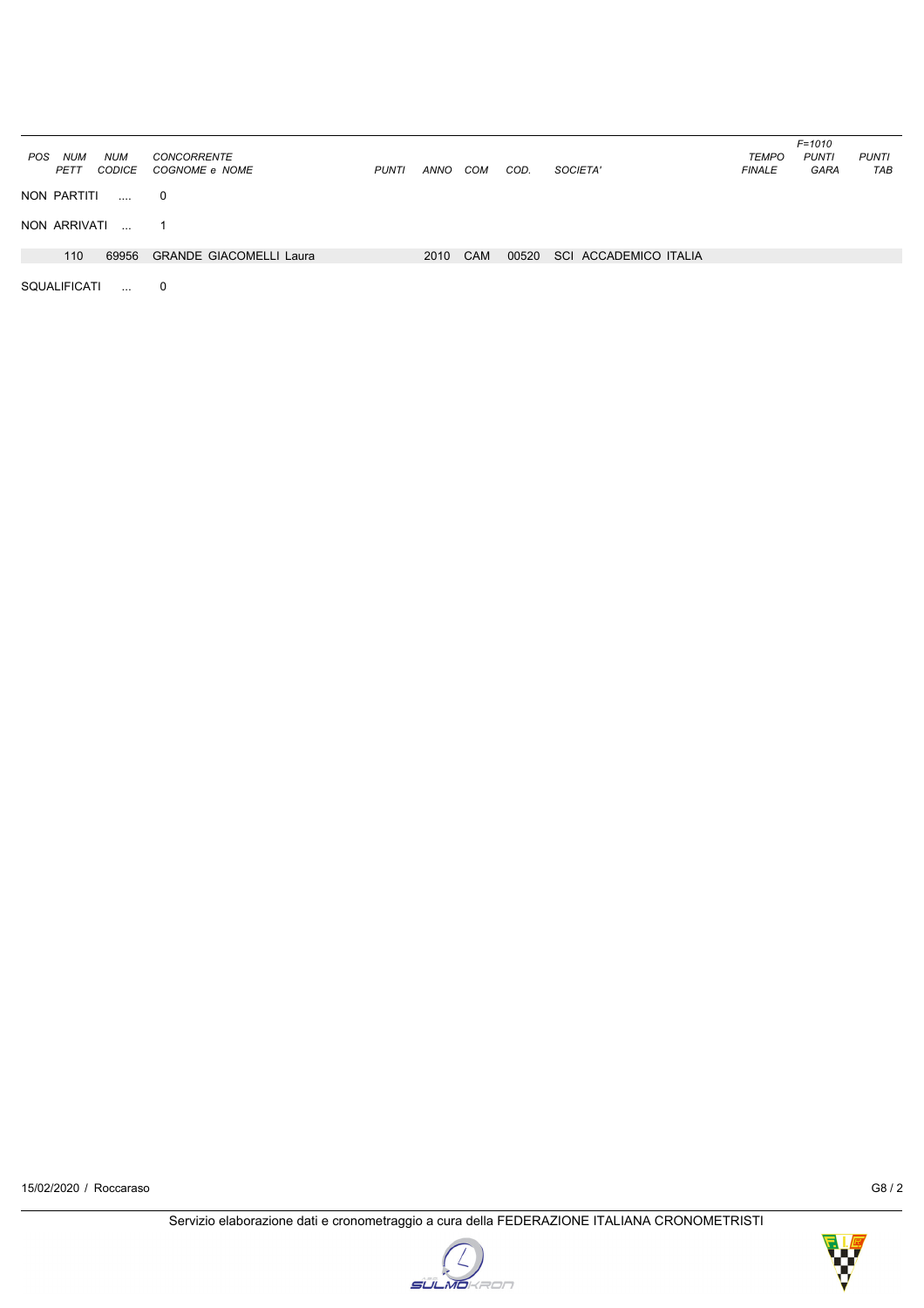| <b>NUM</b><br><b>POS</b><br><b>NUM</b><br>PETT<br><b>CODICE</b> | <b>CONCORRENTE</b><br>COGNOME e NOME | <b>PUNTI</b> | ANNO | COM        | COD.  | SOCIETA'              | <b>TEMPO</b><br><b>FINALE</b> | $F = 1010$<br><b>PUNTI</b><br><b>GARA</b> | <b>PUNTI</b><br>TAB |
|-----------------------------------------------------------------|--------------------------------------|--------------|------|------------|-------|-----------------------|-------------------------------|-------------------------------------------|---------------------|
| NON PARTITI<br>$\ldots$                                         | 0                                    |              |      |            |       |                       |                               |                                           |                     |
| NON ARRIVATI                                                    | 1                                    |              |      |            |       |                       |                               |                                           |                     |
| 110<br>69956                                                    | <b>GRANDE GIACOMELLI Laura</b>       |              | 2010 | <b>CAM</b> | 00520 | SCI ACCADEMICO ITALIA |                               |                                           |                     |
| <b>SQUALIFICATI</b><br>$\mathbf{r}$                             | 0                                    |              |      |            |       |                       |                               |                                           |                     |

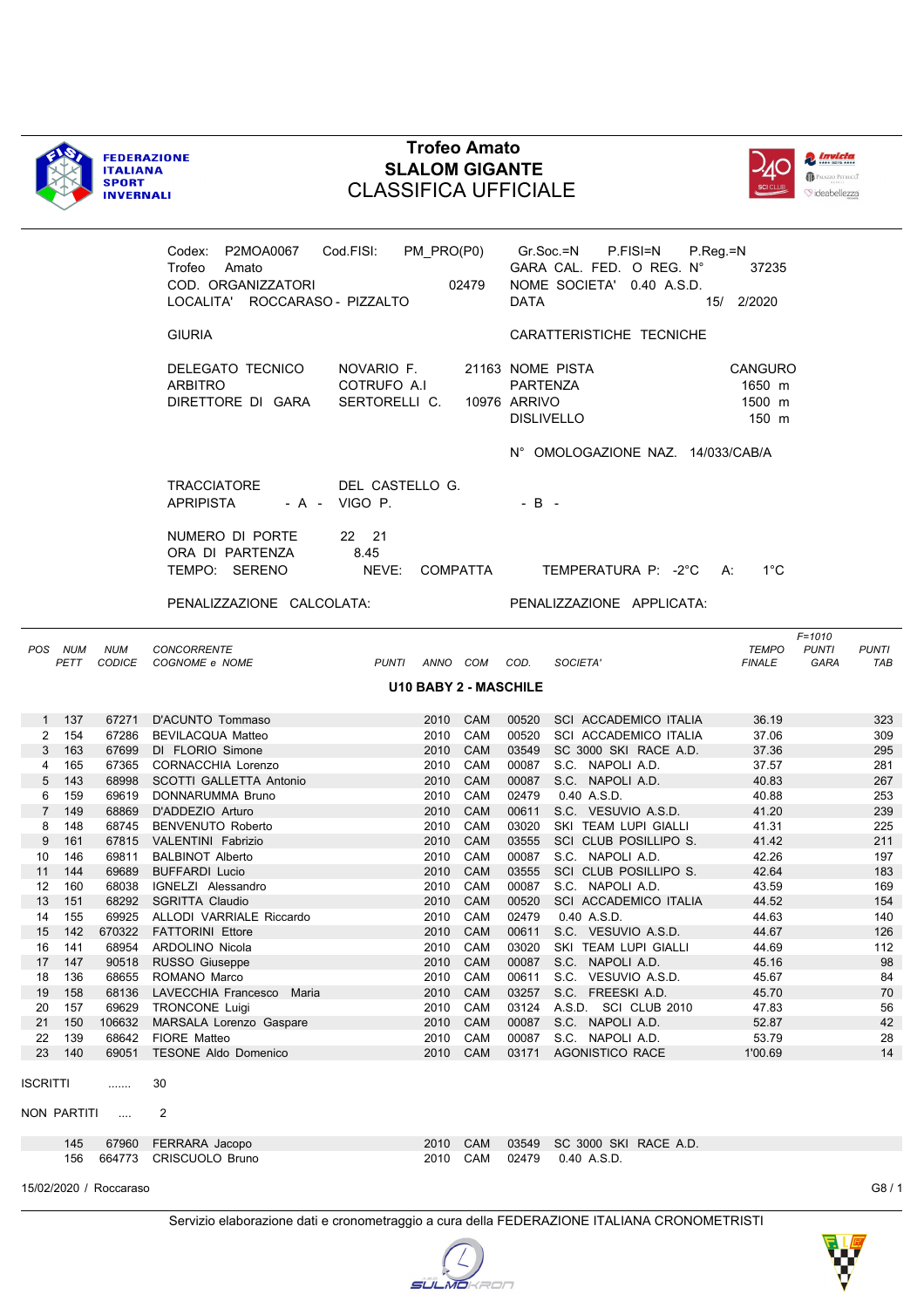



|                     |             |                        | Trofeo Amato<br>COD. ORGANIZZATORI<br>LOCALITA' ROCCARASO - PIZZALTO |                                            |      | 02479                        | DATA                     | Codex: P2MOA0067 Cod.FISI: PM_PRO(P0) Gr.Soc.=N P.FISI=N P.Reg.=N<br>GARA CAL. FED. O REG. N°<br>NOME SOCIETA' 0.40 A.S.D. | 37235<br>15/ 2/2020                         |                                    |                     |
|---------------------|-------------|------------------------|----------------------------------------------------------------------|--------------------------------------------|------|------------------------------|--------------------------|----------------------------------------------------------------------------------------------------------------------------|---------------------------------------------|------------------------------------|---------------------|
|                     |             |                        | <b>GIURIA</b>                                                        |                                            |      |                              |                          | CARATTERISTICHE TECNICHE                                                                                                   |                                             |                                    |                     |
|                     |             |                        | DELEGATO TECNICO<br><b>ARBITRO</b><br>DIRETTORE DI GARA              | NOVARIO F.<br>COTRUFO A.I<br>SERTORELLI C. |      |                              | PARTENZA<br>10976 ARRIVO | 21163 NOME PISTA<br><b>DISLIVELLO</b>                                                                                      | <b>CANGURO</b><br>1650 m<br>1500 m<br>150 m |                                    |                     |
|                     |             |                        |                                                                      |                                            |      |                              |                          | N° OMOLOGAZIONE NAZ. 14/033/CAB/A                                                                                          |                                             |                                    |                     |
|                     |             |                        | TRACCIATORE<br>APRIPISTA                                             | DEL CASTELLO G.<br>$-A - VIGO P.$          |      |                              | $-B -$                   |                                                                                                                            |                                             |                                    |                     |
|                     |             |                        | NUMERO DI PORTE<br>ORA DI PARTENZA<br>TEMPO: SERENO                  | 22 21<br>8.45<br>NEVE: COMPATTA            |      |                              |                          | TEMPERATURA P: -2°C A:                                                                                                     | $1^{\circ}$ C                               |                                    |                     |
|                     |             |                        | PENALIZZAZIONE CALCOLATA:                                            |                                            |      |                              |                          | PENALIZZAZIONE APPLICATA:                                                                                                  |                                             |                                    |                     |
|                     | POS NUM     | <b>NUM</b>             | <b>CONCORRENTE</b><br>PETT CODICE COGNOME e NOME                     |                                            |      | PUNTI ANNO COM COD.          |                          | SOCIETA'                                                                                                                   | <b>TEMPO</b><br><b>FINALE</b>               | $F = 1010$<br><b>PUNTI</b><br>GARA | <b>PUNTI</b><br>TAB |
|                     |             |                        |                                                                      |                                            |      | <b>U10 BABY 2 - MASCHILE</b> |                          |                                                                                                                            |                                             |                                    |                     |
|                     | 1 137       |                        | 67271 D'ACUNTO Tommaso                                               |                                            |      | 2010 CAM                     |                          | 00520 SCI ACCADEMICO ITALIA                                                                                                | 36.19                                       |                                    | 323                 |
| $\mathbf{2}$        | 154         |                        | 67286 BEVILACQUA Matteo                                              |                                            |      | 2010 CAM                     |                          | 00520 SCI ACCADEMICO ITALIA                                                                                                | 37.06                                       |                                    | 309                 |
| 3 <sup>1</sup>      | 163         |                        | 67699 DI FLORIO Simone                                               |                                            |      | 2010 CAM                     |                          | 03549 SC 3000 SKI RACE A.D.                                                                                                | 37.36                                       |                                    | 295                 |
| 4<br>5 <sup>5</sup> | 165<br>143  |                        | 67365 CORNACCHIA Lorenzo<br>68998 SCOTTI GALLETTA Antonio            |                                            |      | 2010 CAM<br>2010 CAM         |                          | 00087 S.C. NAPOLI A.D.<br>00087 S.C. NAPOLI A.D.                                                                           | 37.57<br>40.83                              |                                    | 281<br>267          |
| 6                   | 159         |                        | 69619 DONNARUMMA Bruno                                               |                                            |      | 2010 CAM                     | 02479                    | 0.40 A.S.D.                                                                                                                | 40.88                                       |                                    | 253                 |
| $7^{\circ}$         | 149         |                        | 68869 D'ADDEZIO Arturo                                               |                                            |      | 2010 CAM                     | 00611                    | S.C. VESUVIO A.S.D.                                                                                                        | 41.20                                       |                                    | 239                 |
| 8                   | 148         |                        | 68745 BENVENUTO Roberto                                              |                                            |      | 2010 CAM                     | 03020                    | SKI TEAM LUPI GIALLI                                                                                                       | 41.31                                       |                                    | 225                 |
| 9                   | 161         |                        | 67815 VALENTINI Fabrizio                                             |                                            |      | 2010 CAM                     | 03555                    | SCI CLUB POSILLIPO S.                                                                                                      | 41.42                                       |                                    | 211                 |
| 10                  | 146         |                        | 69811 BALBINOT Alberto                                               |                                            |      | 2010 CAM                     |                          | 00087 S.C. NAPOLI A.D.                                                                                                     | 42.26                                       |                                    | 197                 |
| 11                  | 144         |                        | 69689 BUFFARDI Lucio                                                 |                                            |      | 2010 CAM                     | 03555                    | SCI CLUB POSILLIPO S.                                                                                                      | 42.64                                       |                                    | 183                 |
| 12 <sup>°</sup>     | 160         |                        | 68038 IGNELZI Alessandro                                             |                                            |      | 2010 CAM                     |                          | 00087 S.C. NAPOLI A.D.                                                                                                     | 43.59                                       |                                    | 169                 |
| 13                  | 151         |                        | 68292 SGRITTA Claudio                                                |                                            |      | 2010 CAM                     |                          | 00520 SCI ACCADEMICO ITALIA                                                                                                | 44.52                                       |                                    | 154                 |
| 14                  | 155         |                        | 69925 ALLODI VARRIALE Riccardo                                       |                                            |      | 2010 CAM                     | 02479                    | 0.40 A.S.D.                                                                                                                | 44.63                                       |                                    | 140                 |
| 15<br>16            | 142<br>141  | 670322<br>68954        | <b>FATTORINI Ettore</b><br><b>ARDOLINO Nicola</b>                    |                                            | 2010 | 2010 CAM<br>CAM              | 00611<br>03020           | S.C. VESUVIO A.S.D.<br>SKI TEAM LUPI GIALLI                                                                                | 44.67<br>44.69                              |                                    | 126<br>112          |
| 17                  | 147         | 90518                  | RUSSO Giuseppe                                                       |                                            | 2010 | CAM                          | 00087                    | S.C. NAPOLI A.D.                                                                                                           | 45.16                                       |                                    | 98                  |
| 18                  | 136         | 68655                  | ROMANO Marco                                                         |                                            | 2010 | CAM                          | 00611                    | S.C. VESUVIO A.S.D.                                                                                                        | 45.67                                       |                                    | 84                  |
| 19                  | 158         | 68136                  | LAVECCHIA Francesco<br>Maria                                         |                                            | 2010 | CAM                          | 03257                    | S.C. FREESKI A.D.                                                                                                          | 45.70                                       |                                    | 70                  |
| 20                  | 157         | 69629                  | TRONCONE Luigi                                                       |                                            | 2010 | CAM                          | 03124                    | A.S.D. SCI CLUB 2010                                                                                                       | 47.83                                       |                                    | 56                  |
| 21                  | 150         | 106632                 | MARSALA Lorenzo Gaspare                                              |                                            | 2010 | CAM                          | 00087                    | S.C. NAPOLI A.D.                                                                                                           | 52.87                                       |                                    | 42                  |
| 22                  | 139         | 68642                  | FIORE Matteo                                                         |                                            |      | 2010 CAM                     | 00087                    | S.C. NAPOLI A.D.                                                                                                           | 53.79                                       |                                    | 28                  |
| 23                  | 140         | 69051                  | <b>TESONE Aldo Domenico</b>                                          |                                            |      | 2010 CAM                     | 03171                    | <b>AGONISTICO RACE</b>                                                                                                     | 1'00.69                                     |                                    | 14                  |
| <b>ISCRITTI</b>     |             | .                      | 30                                                                   |                                            |      |                              |                          |                                                                                                                            |                                             |                                    |                     |
|                     | NON PARTITI | $\ldots$               | 2                                                                    |                                            |      |                              |                          |                                                                                                                            |                                             |                                    |                     |
|                     | 145         | 67960                  | FERRARA Jacopo                                                       |                                            | 2010 | CAM                          | 03549                    | SC 3000 SKI RACE A.D.                                                                                                      |                                             |                                    |                     |
|                     | 156         |                        | 664773 CRISCUOLO Bruno                                               |                                            |      | 2010 CAM                     | 02479                    | 0.40 A.S.D.                                                                                                                |                                             |                                    |                     |
|                     |             | 15/02/2020 / Roccaraso |                                                                      |                                            |      |                              |                          |                                                                                                                            |                                             |                                    | G8/1                |

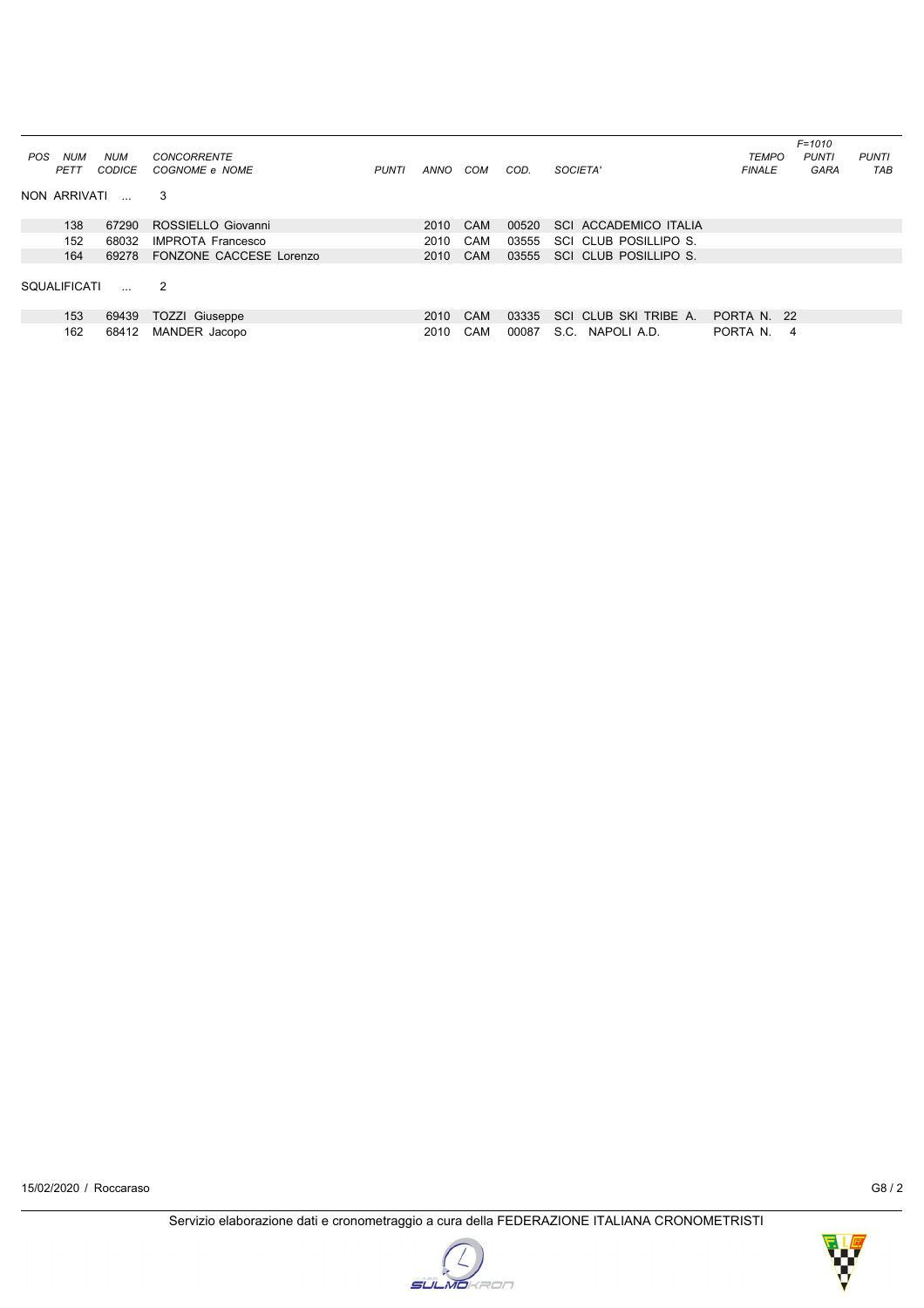|                              |            |                          |              |      |            |       |                                 |               | $F = 1010$   |              |
|------------------------------|------------|--------------------------|--------------|------|------------|-------|---------------------------------|---------------|--------------|--------------|
| NUM<br><b>POS</b>            | <b>NUM</b> | <b>CONCORRENTE</b>       |              |      |            |       |                                 | <b>TEMPO</b>  | <b>PUNTI</b> | <b>PUNTI</b> |
| PETT                         | CODICE     | COGNOME e NOME           | <b>PUNTI</b> | ANNO | COM        | COD.  | SOCIETA'                        | <b>FINALE</b> | <b>GARA</b>  | <b>TAB</b>   |
| NON ARRIVATI<br>$\mathbf{r}$ |            | 3                        |              |      |            |       |                                 |               |              |              |
| 138                          | 67290      | ROSSIELLO Giovanni       |              | 2010 | CAM        | 00520 | SCI ACCADEMICO ITALIA           |               |              |              |
| 152                          | 68032      | <b>IMPROTA Francesco</b> |              | 2010 | CAM        | 03555 | SCI CLUB POSILLIPO S.           |               |              |              |
| 164                          | 69278      | FONZONE CACCESE Lorenzo  |              | 2010 | CAM        | 03555 | SCI CLUB POSILLIPO S.           |               |              |              |
| <b>SOUALIFICATI</b>          | $\ddotsc$  | -2                       |              |      |            |       |                                 |               |              |              |
| 153                          | 69439      | <b>TOZZI Giuseppe</b>    |              | 2010 | CAM        | 03335 | CLUB SKI TRIBE A.<br><b>SCI</b> | PORTA N. 22   |              |              |
| 162                          | 68412      | MANDER Jacopo            |              | 2010 | <b>CAM</b> | 00087 | S.C. NAPOLI A.D.                | PORTA N.      | 4            |              |



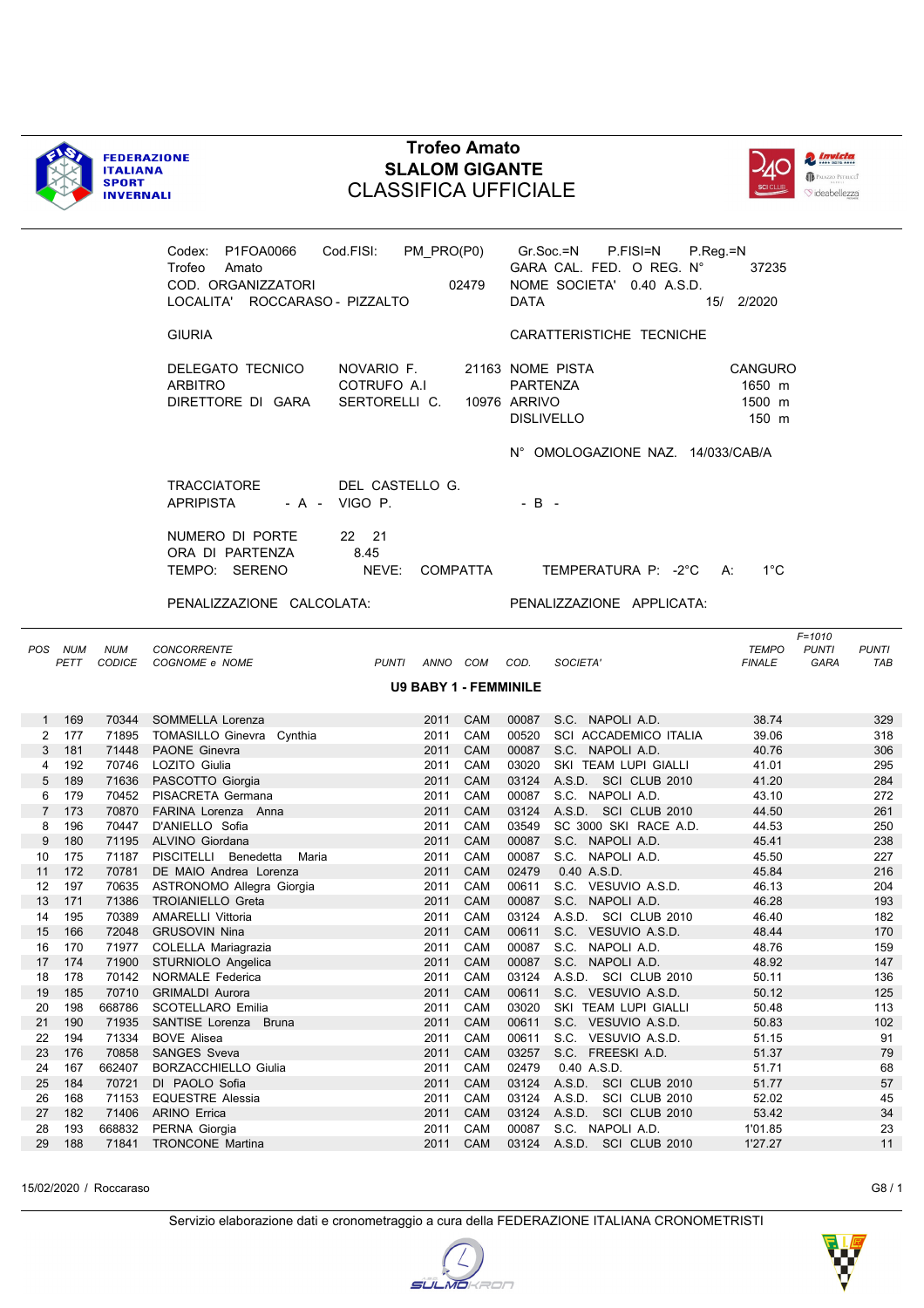



|                |                 |            | Codex: P1FOA0066 Cod.FISI: PM_PRO(P0)<br>Trofeo<br>Amato<br>COD. ORGANIZZATORI<br>LOCALITA' ROCCARASO - PIZZALTO |                                            | 02479                | <b>DATA</b>              | Gr.Soc.=N<br>P.FISI=N<br>GARA CAL. FED. O REG. N°<br>NOME SOCIETA' 0.40 A.S.D. | $P_{\cdot}$ Reg = N<br>37235<br>15/ 2/2020 |                                                           |
|----------------|-----------------|------------|------------------------------------------------------------------------------------------------------------------|--------------------------------------------|----------------------|--------------------------|--------------------------------------------------------------------------------|--------------------------------------------|-----------------------------------------------------------|
|                |                 |            | <b>GIURIA</b>                                                                                                    |                                            |                      |                          | CARATTERISTICHE TECNICHE                                                       |                                            |                                                           |
|                |                 |            | DELEGATO TECNICO<br>ARBITRO<br>DIRETTORE DI GARA                                                                 | NOVARIO F.<br>COTRUFO A.I<br>SERTORELLI C. |                      | PARTENZA<br>10976 ARRIVO | 21163 NOME PISTA<br><b>DISLIVELLO</b>                                          | CANGURO<br>1650 m<br>1500 m<br>150 m       |                                                           |
|                |                 |            |                                                                                                                  |                                            |                      |                          | N° OMOLOGAZIONE NAZ. 14/033/CAB/A                                              |                                            |                                                           |
|                |                 |            | <b>TRACCIATORE</b><br><b>APRIPISTA</b>                                                                           | DEL CASTELLO G.<br>- A - VIGO P.           |                      | $-B -$                   |                                                                                |                                            |                                                           |
|                |                 |            | NUMERO DI PORTE<br>ORA DI PARTENZA<br>TEMPO: SERENO                                                              | 22 21<br>8.45<br>NEVE:                     | COMPATTA             |                          | TEMPERATURA P: -2°C A:                                                         | $1^{\circ}$ C                              |                                                           |
|                |                 |            | PENALIZZAZIONE CALCOLATA:                                                                                        |                                            |                      |                          | PENALIZZAZIONE APPLICATA:                                                      |                                            |                                                           |
|                | POS NUM<br>PETT | <b>NUM</b> | CONCORRENTE<br>CODICE COGNOME e NOME                                                                             | PUNTI ANNO COM COD.                        |                      |                          | SOCIETA'                                                                       | <b>TEMPO</b><br><b>FINALE</b>              | $F = 1010$<br><b>PUNTI</b><br><b>PUNTI</b><br>GARA<br>TAB |
|                |                 |            |                                                                                                                  | <b>U9 BABY 1 - FEMMINILE</b>               |                      |                          |                                                                                |                                            |                                                           |
|                | 1 169           |            | 70344 SOMMELLA Lorenza                                                                                           |                                            | 2011 CAM             |                          | 00087 S.C. NAPOLI A.D.                                                         | 38.74                                      | 329                                                       |
| $\overline{2}$ | 177             |            | 71895 TOMASILLO Ginevra Cynthia                                                                                  | 2011                                       | CAM                  |                          | 00520 SCI ACCADEMICO ITALIA                                                    | 39.06                                      | 318                                                       |
| 3              | 181             |            | 71448 PAONE Ginevra                                                                                              |                                            | 2011 CAM             |                          | 00087 S.C. NAPOLI A.D.                                                         | 40.76                                      | 306                                                       |
| 4              | 192             |            | 70746 LOZITO Giulia                                                                                              |                                            | 2011 CAM             |                          | 03020 SKI TEAM LUPI GIALLI                                                     | 41.01                                      | 295                                                       |
| 5              | 189             |            | 71636 PASCOTTO Giorgia                                                                                           |                                            | 2011 CAM             |                          | 03124 A.S.D. SCI CLUB 2010                                                     | 41.20                                      | 284                                                       |
| 6              | 179             |            | 70452 PISACRETA Germana                                                                                          |                                            | 2011 CAM             |                          | 00087 S.C. NAPOLI A.D.                                                         | 43.10                                      | 272                                                       |
|                | 7 173           |            | 70870 FARINA Lorenza Anna                                                                                        |                                            | 2011 CAM             |                          | 03124 A.S.D. SCI CLUB 2010                                                     | 44.50                                      | 261                                                       |
| 8              | 196             |            | 70447 D'ANIELLO Sofia                                                                                            |                                            | 2011 CAM             |                          | 03549 SC 3000 SKI RACE A.D.                                                    | 44.53                                      | 250                                                       |
| 9              | 180             |            | 71195 ALVINO Giordana                                                                                            |                                            | 2011 CAM             |                          | 00087 S.C. NAPOLI A.D.                                                         | 45.41                                      | 238                                                       |
| 10             | 175             |            | 71187 PISCITELLI Benedetta Maria                                                                                 | 2011                                       | CAM                  |                          | 00087 S.C. NAPOLI A.D.                                                         | 45.50                                      | 227                                                       |
| 11<br>12       | 172<br>197      |            | 70781 DE MAIO Andrea Lorenza                                                                                     |                                            | 2011 CAM<br>2011 CAM | 02479                    | 0.40 A.S.D.<br>00611 S.C. VESUVIO A.S.D.                                       | 45.84<br>46.13                             | 216<br>204                                                |
| 13             | 171             | 71386      | 70635 ASTRONOMO Allegra Giorgia<br>TROIANIELLO Greta                                                             |                                            | 2011 CAM             |                          | 00087 S.C. NAPOLI A.D.                                                         | 46.28                                      | 193                                                       |
| 14             | 195             |            | 70389 AMARELLI Vittoria                                                                                          |                                            | 2011 CAM             |                          | 03124 A.S.D. SCI CLUB 2010                                                     | 46.40                                      | 182                                                       |
|                | 15 166          |            | 72048 GRUSOVIN Nina                                                                                              |                                            |                      |                          | 2011 CAM 00611 S.C. VESUVIO A.S.D.                                             | 48.44                                      | 170                                                       |
| 16             | 170             |            | 71977 COLELLA Mariagrazia                                                                                        |                                            | 2011 CAM             |                          | 00087 S.C. NAPOLI A.D.                                                         | 48.76                                      | 159                                                       |
| 17             | 174             | 71900      | STURNIOLO Angelica                                                                                               | 2011                                       | <b>CAM</b>           | 00087                    | S.C. NAPOLI A.D.                                                               | 48.92                                      | 147                                                       |
| 18             | 178             | 70142      | <b>NORMALE Federica</b>                                                                                          | 2011                                       | CAM                  | 03124                    | A.S.D. SCI CLUB 2010                                                           | 50.11                                      | 136                                                       |
| 19             | 185             | 70710      | <b>GRIMALDI Aurora</b>                                                                                           | 2011                                       | CAM                  | 00611                    | S.C. VESUVIO A.S.D.                                                            | 50.12                                      | 125                                                       |
| 20             | 198             | 668786     | SCOTELLARO Emilia                                                                                                | 2011                                       | CAM                  | 03020                    | SKI TEAM LUPI GIALLI                                                           | 50.48                                      | 113                                                       |
| 21             | 190             | 71935      | SANTISE Lorenza Bruna                                                                                            | 2011                                       | <b>CAM</b>           | 00611                    | S.C. VESUVIO A.S.D.                                                            | 50.83                                      | 102                                                       |
| 22             | 194             | 71334      | <b>BOVE Alisea</b>                                                                                               | 2011                                       | CAM                  | 00611                    | S.C. VESUVIO A.S.D.                                                            | 51.15                                      | 91                                                        |
| 23             | 176             | 70858      | <b>SANGES Sveva</b>                                                                                              | 2011                                       | CAM                  | 03257                    | S.C. FREESKI A.D.                                                              | 51.37                                      | 79                                                        |
| 24             | 167             | 662407     | <b>BORZACCHIELLO Giulia</b>                                                                                      | 2011                                       | CAM                  | 02479                    | 0.40 A.S.D.                                                                    | 51.71                                      | 68                                                        |
| 25             | 184             | 70721      | DI PAOLO Sofia                                                                                                   | 2011                                       | CAM                  | 03124                    | A.S.D. SCI CLUB 2010                                                           | 51.77                                      | 57                                                        |
| 26             | 168             | 71153      | <b>EQUESTRE Alessia</b>                                                                                          | 2011                                       | CAM                  | 03124                    | A.S.D. SCI CLUB 2010                                                           | 52.02                                      | 45                                                        |
| 27             | 182             | 71406      | <b>ARINO Errica</b>                                                                                              | 2011                                       | CAM                  | 03124                    | A.S.D. SCI CLUB 2010                                                           | 53.42                                      | 34                                                        |
| 28             | 193             | 668832     | PERNA Giorgia                                                                                                    | 2011                                       | CAM                  | 00087                    | S.C. NAPOLI A.D.                                                               | 1'01.85                                    | 23                                                        |

15/02/2020 / Roccaraso G8 / 1

29 188 71841 TRONCONE Martina 2011 CAM 03124 A.S.D. SCI CLUB 2010 1'27.27 11

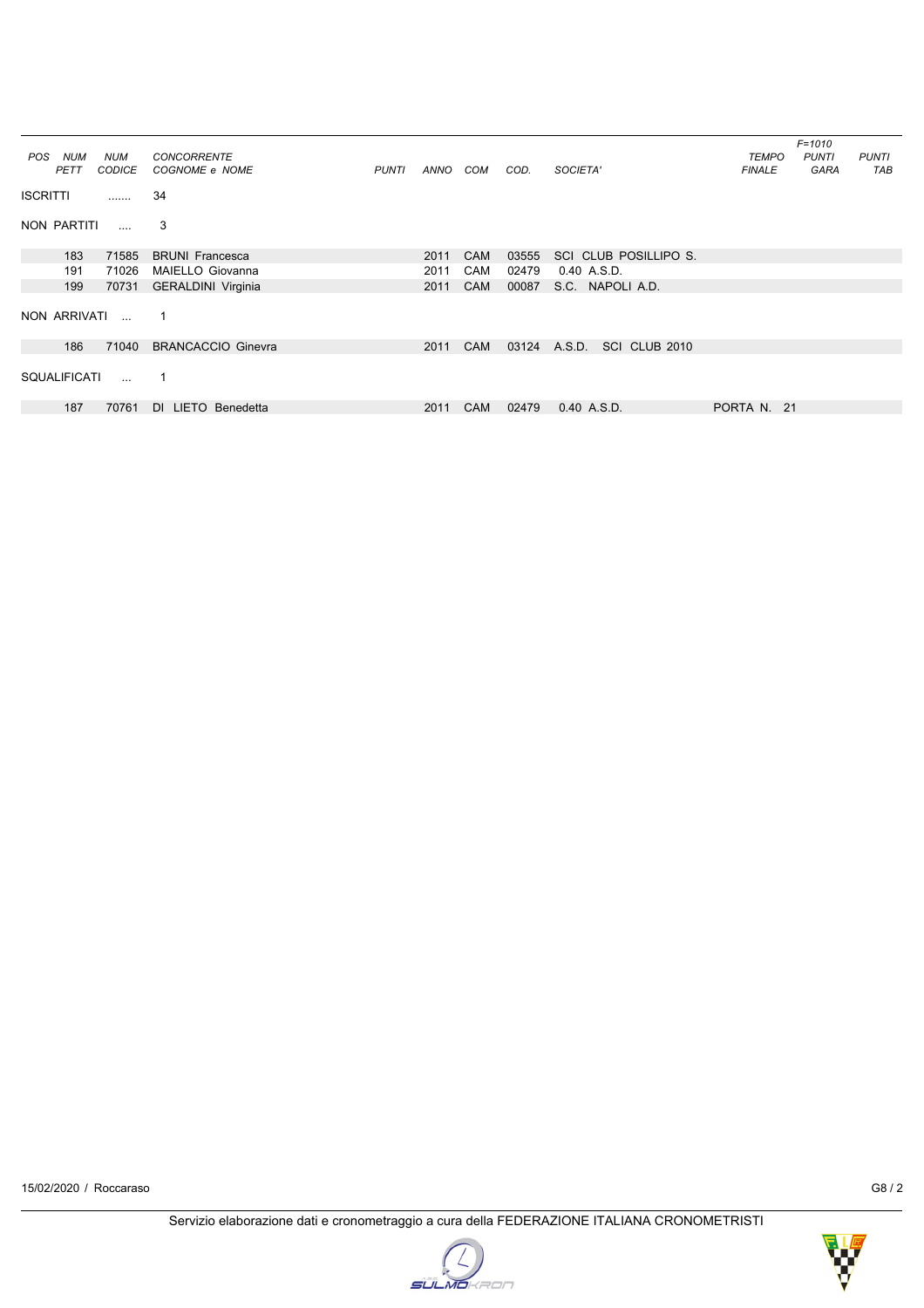|                     |               |                           |              |      |            |       |                         |               | $F = 1010$   |              |
|---------------------|---------------|---------------------------|--------------|------|------------|-------|-------------------------|---------------|--------------|--------------|
| <b>NUM</b><br>POS   | <b>NUM</b>    | <b>CONCORRENTE</b>        |              |      |            |       |                         | <b>TEMPO</b>  | <b>PUNTI</b> | <b>PUNTI</b> |
| PETT                | <b>CODICE</b> | COGNOME e NOME            | <b>PUNTI</b> | ANNO | COM        | COD.  | SOCIETA'                | <b>FINALE</b> | <b>GARA</b>  | TAB          |
| <b>ISCRITTI</b>     | .             | 34                        |              |      |            |       |                         |               |              |              |
| NON PARTITI         | $\cdots$      | 3                         |              |      |            |       |                         |               |              |              |
| 183                 | 71585         | <b>BRUNI Francesca</b>    |              | 2011 | <b>CAM</b> | 03555 | SCI CLUB POSILLIPO S.   |               |              |              |
| 191                 | 71026         | MAIELLO Giovanna          |              | 2011 | <b>CAM</b> | 02479 | 0.40 A.S.D.             |               |              |              |
| 199                 | 70731         | <b>GERALDINI Virginia</b> |              | 2011 | <b>CAM</b> | 00087 | S.C. NAPOLI A.D.        |               |              |              |
| NON ARRIVATI        |               | $\mathbf 1$               |              |      |            |       |                         |               |              |              |
| 186                 | 71040         | <b>BRANCACCIO Ginevra</b> |              | 2011 | <b>CAM</b> | 03124 | A.S.D.<br>SCI CLUB 2010 |               |              |              |
| <b>SQUALIFICATI</b> | $\sim 100$    | -1                        |              |      |            |       |                         |               |              |              |
| 187                 | 70761         | DI LIETO Benedetta        |              | 2011 | <b>CAM</b> | 02479 | 0.40 A.S.D.             | PORTA N. 21   |              |              |



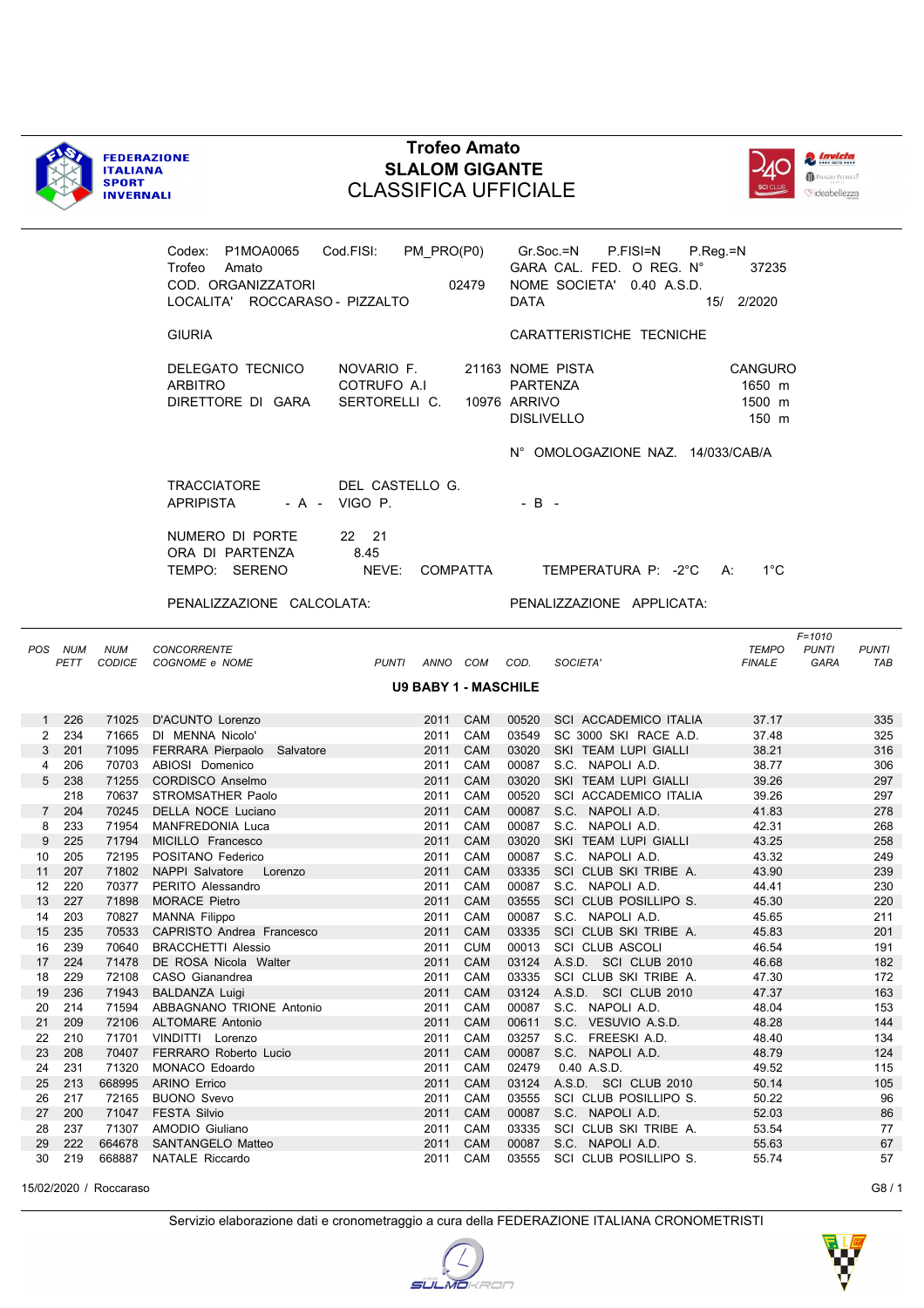



|        |                    |            | Codex: P1MOA0065<br>Trofeo<br>Amato<br>COD. ORGANIZZATORI<br>LOCALITA' ROCCARASO - PIZZALTO | Cod.FISI: PM_PRO(P0)<br>02479              | <b>DATA</b>  | Gr.Soc.=N<br>P.FISI=N<br>GARA CAL. FED. O REG. N°<br>NOME SOCIETA' 0.40 A.S.D. | $P_{R}$ eg = N<br>37235<br>15/ 2/2020       |                                             |
|--------|--------------------|------------|---------------------------------------------------------------------------------------------|--------------------------------------------|--------------|--------------------------------------------------------------------------------|---------------------------------------------|---------------------------------------------|
|        |                    |            | <b>GIURIA</b>                                                                               |                                            |              | CARATTERISTICHE TECNICHE                                                       |                                             |                                             |
|        |                    |            | DELEGATO TECNICO<br><b>ARBITRO</b><br>DIRETTORE DI GARA                                     | NOVARIO F.<br>COTRUFO A.I<br>SERTORELLI C. | 10976 ARRIVO | 21163 NOME PISTA<br>PARTENZA<br><b>DISLIVELLO</b>                              | CANGURO<br>1650 m<br>1500 m<br>150 m        |                                             |
|        |                    |            |                                                                                             |                                            |              | N° OMOLOGAZIONE NAZ. 14/033/CAB/A                                              |                                             |                                             |
|        |                    |            | <b>TRACCIATORE</b><br><b>APRIPISTA</b>                                                      | DEL CASTELLO G.<br>- A - VIGO P.           | $-B -$       |                                                                                |                                             |                                             |
|        |                    |            | NUMERO DI PORTE<br>ORA DI PARTENZA<br>TEMPO: SERENO                                         | 22 21<br>8.45<br>NEVE:<br>COMPATTA         |              | TEMPERATURA P: -2°C A:                                                         | $1^{\circ}$ C                               |                                             |
|        |                    |            | PENALIZZAZIONE CALCOLATA:                                                                   |                                            |              | PENALIZZAZIONE APPLICATA:                                                      |                                             |                                             |
| POS    | <b>NUM</b><br>PETT | <b>NUM</b> | <b>CONCORRENTE</b><br>CODICE COGNOME e NOME                                                 | PUNTI ANNO COM COD.                        |              | SOCIETA'                                                                       | $F = 1010$<br><b>TEMPO</b><br><b>FINALE</b> | <b>PUNTI</b><br><b>PUNTI</b><br>GARA<br>TAB |
|        |                    |            |                                                                                             | <b>U9 BABY 1 - MASCHILE</b>                |              |                                                                                |                                             |                                             |
| 1      | 226                | 71025      | D'ACUNTO Lorenzo                                                                            | 2011<br><b>CAM</b>                         |              | 00520 SCI ACCADEMICO ITALIA                                                    | 37.17                                       | 335                                         |
|        | 2 234              |            | 71665 DI MENNA Nicolo'                                                                      | 2011 CAM                                   |              | 03549 SC 3000 SKI RACE A.D.                                                    | 37.48                                       | 325                                         |
|        | 3 201              |            | 71095 FERRARA Pierpaolo Salvatore                                                           | 2011 CAM                                   |              | 03020 SKI TEAM LUPI GIALLI                                                     | 38.21                                       | 316                                         |
| 4      | 206                |            | 70703 ABIOSI Domenico                                                                       | 2011 CAM                                   |              | 00087 S.C. NAPOLI A.D.                                                         | 38.77                                       | 306                                         |
|        | 5 238              |            | 71255 CORDISCO Anselmo                                                                      | 2011 CAM                                   |              | 03020 SKI TEAM LUPI GIALLI                                                     | 39.26                                       | 297                                         |
|        | 218                |            | 70637 STROMSATHER Paolo                                                                     | 2011<br>CAM                                |              | 00520 SCI ACCADEMICO ITALIA                                                    | 39.26                                       | 297                                         |
|        | 7 204<br>233       | 71954      | 70245 DELLA NOCE Luciano<br>MANFREDONIA Luca                                                | 2011 CAM<br>CAM                            | 00087        | 00087 S.C. NAPOLI A.D.<br>S.C. NAPOLI A.D.                                     | 41.83                                       | 278<br>268                                  |
| 8<br>9 | 225                | 71794      | MICILLO Francesco                                                                           | 2011<br>2011 CAM                           | 03020        | SKI TEAM LUPI GIALLI                                                           | 42.31<br>43.25                              | 258                                         |
| 10     | 205                |            | 72195 POSITANO Federico                                                                     | 2011 CAM                                   |              | 00087 S.C. NAPOLI A.D.                                                         | 43.32                                       | 249                                         |
| 11     | 207                |            | 71802 NAPPI Salvatore<br>Lorenzo                                                            | 2011 CAM                                   |              | 03335 SCI CLUB SKI TRIBE A.                                                    | 43.90                                       | 239                                         |
| 12     | 220                |            | 70377 PERITO Alessandro                                                                     | CAM<br>2011                                |              | 00087 S.C. NAPOLI A.D.                                                         | 44.41                                       | 230                                         |
| 13     | 227                |            | 71898 MORACE Pietro                                                                         | 2011 CAM                                   | 03555        | SCI CLUB POSILLIPO S.                                                          | 45.30                                       | 220                                         |
| 14     | 203                |            | 70827 MANNA Filippo                                                                         | 2011 CAM                                   |              | 00087 S.C. NAPOLI A.D.                                                         | 45.65                                       | 211                                         |
| 15     | 235                | 70533      | CAPRISTO Andrea Francesco                                                                   | 2011 CAM                                   |              | 03335 SCI CLUB SKI TRIBE A.                                                    | 45.83                                       | 201                                         |
| 16     | 239                | 70640      | <b>BRACCHETTI Alessio</b>                                                                   | <b>CUM</b><br>2011                         | 00013        | <b>SCI CLUB ASCOLI</b>                                                         | 46.54                                       | 191                                         |
| 17     | 224                | 71478      | DE ROSA Nicola Walter                                                                       | 2011<br>CAM                                | 03124        | A.S.D. SCI CLUB 2010                                                           | 46.68                                       | 182                                         |
| 18     | 229                | 72108      | CASO Gianandrea                                                                             | CAM<br>2011                                | 03335        | SCI CLUB SKI TRIBE A.                                                          | 47.30                                       | 172                                         |
| 19     | 236                | 71943      | <b>BALDANZA Luigi</b>                                                                       | CAM<br>2011                                | 03124        | A.S.D. SCI CLUB 2010                                                           | 47.37                                       | 163                                         |
| 20     | 214                | 71594      | ABBAGNANO TRIONE Antonio                                                                    | CAM<br>2011                                | 00087        | S.C. NAPOLI A.D.                                                               | 48.04                                       | 153                                         |
| 21     | 209                | 72106      | <b>ALTOMARE Antonio</b>                                                                     | 2011<br>CAM                                | 00611        | S.C. VESUVIO A.S.D.                                                            | 48.28                                       | 144                                         |
| 22     | 210                | 71701      | VINDITTI Lorenzo                                                                            | CAM<br>2011                                | 03257        | S.C. FREESKI A.D.                                                              | 48.40                                       | 134                                         |
| 23     | 208                | 70407      | FERRARO Roberto Lucio                                                                       | CAM<br>2011                                | 00087        | S.C. NAPOLI A.D.                                                               | 48.79                                       | 124                                         |
| 24     | 231                | 71320      | MONACO Edoardo                                                                              | CAM<br>2011                                | 02479        | 0.40 A.S.D.                                                                    | 49.52                                       | 115                                         |
| 25     | 213                | 668995     | <b>ARINO Errico</b>                                                                         | 2011<br>CAM                                | 03124        | A.S.D. SCI CLUB 2010                                                           | 50.14                                       | 105                                         |
| 26     | 217                | 72165      | <b>BUONO Svevo</b>                                                                          | 2011<br>CAM                                | 03555        | SCI CLUB POSILLIPO S.                                                          | 50.22                                       | 96                                          |
| 27     | 200                | 71047      | <b>FESTA Silvio</b>                                                                         | 2011<br>CAM                                | 00087        | S.C. NAPOLI A.D.                                                               | 52.03                                       | 86                                          |
| 28     | 237                | 71307      | AMODIO Giuliano                                                                             | CAM<br>2011                                | 03335        | SCI CLUB SKI TRIBE A.                                                          | 53.54                                       | 77                                          |

15/02/2020 / Roccaraso G8 / 1

29 222 664678 SANTANGELO Matteo 2011 CAM 00087 S.C. NAPOLI A.D. 55.63 67 30 219 668887 NATALE Riccardo 2011 CAM 03555 SCI CLUB POSILLIPO S. 55.74 57



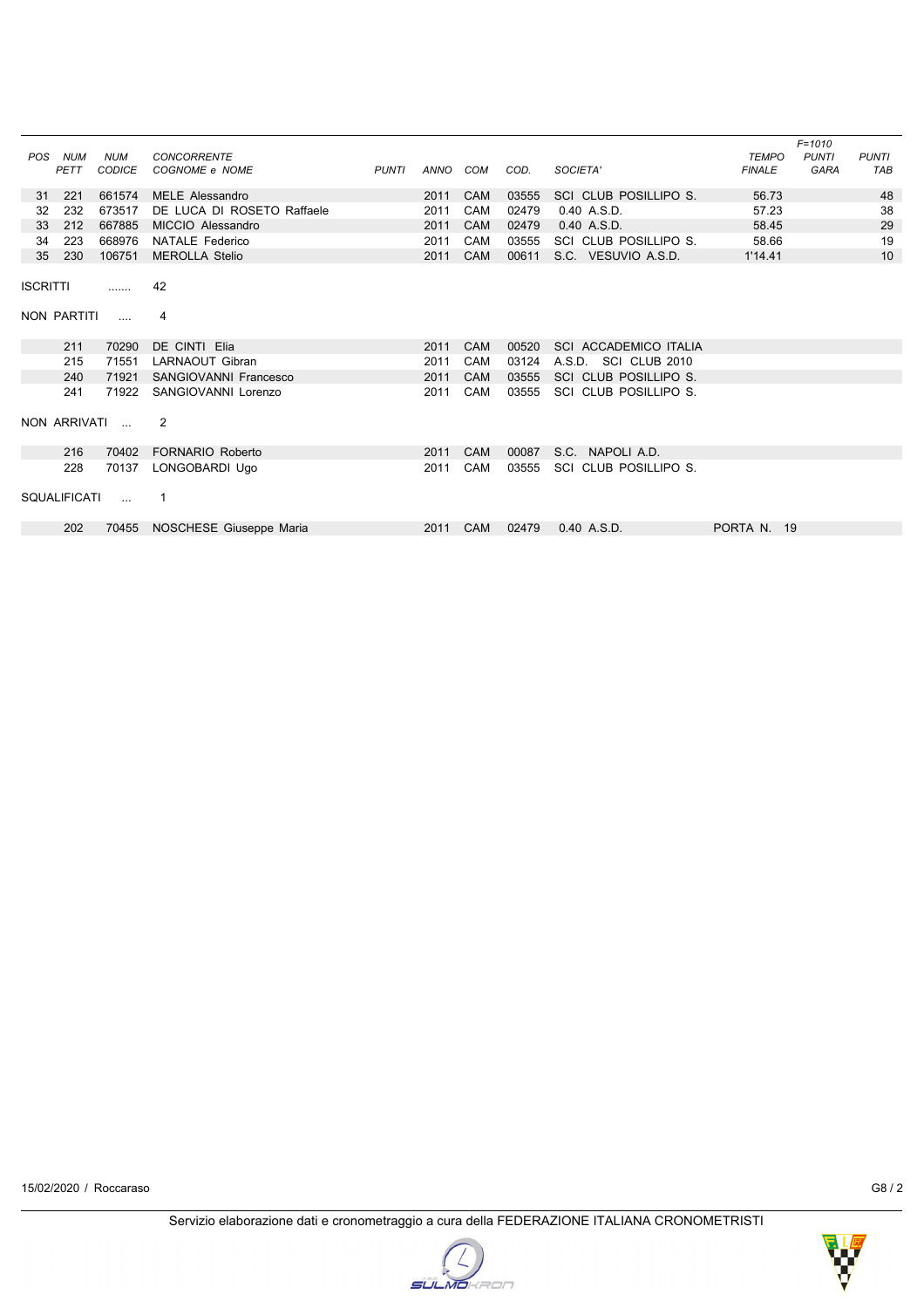| <b>POS</b>      | <b>NUM</b><br>PETT  | <b>NUM</b><br><b>CODICE</b> | <b>CONCORRENTE</b><br>COGNOME e NOME | <b>PUNTI</b> | ANNO | COM        | COD.  | SOCIETA'                     | <b>TEMPO</b><br><b>FINALE</b> | $F = 1010$<br><b>PUNTI</b><br><b>GARA</b> | <b>PUNTI</b><br>TAB |
|-----------------|---------------------|-----------------------------|--------------------------------------|--------------|------|------------|-------|------------------------------|-------------------------------|-------------------------------------------|---------------------|
|                 |                     |                             |                                      |              |      |            |       |                              |                               |                                           |                     |
| 31              | 221                 | 661574                      | <b>MELE Alessandro</b>               |              | 2011 | <b>CAM</b> | 03555 | SCI CLUB POSILLIPO S.        | 56.73                         |                                           | 48                  |
| 32              | 232                 | 673517                      | DE LUCA DI ROSETO Raffaele           |              | 2011 | CAM        | 02479 | 0.40 A.S.D.                  | 57.23                         |                                           | 38                  |
| 33              | 212                 | 667885                      | MICCIO Alessandro                    |              | 2011 | <b>CAM</b> | 02479 | 0.40 A.S.D.                  | 58.45                         |                                           | 29                  |
| 34              | 223                 | 668976                      | <b>NATALE Federico</b>               |              | 2011 | <b>CAM</b> | 03555 | SCI CLUB POSILLIPO S.        | 58.66                         |                                           | 19                  |
| 35              | 230                 | 106751                      | <b>MEROLLA Stelio</b>                |              | 2011 | <b>CAM</b> | 00611 | S.C. VESUVIO A.S.D.          | 1'14.41                       |                                           | 10                  |
| <b>ISCRITTI</b> |                     | .                           | 42                                   |              |      |            |       |                              |                               |                                           |                     |
|                 | NON PARTITI         | $\cdots$                    | 4                                    |              |      |            |       |                              |                               |                                           |                     |
|                 | 211                 | 70290                       | DE CINTI Elia                        |              | 2011 | <b>CAM</b> | 00520 | <b>SCI ACCADEMICO ITALIA</b> |                               |                                           |                     |
|                 | 215                 | 71551                       | <b>LARNAOUT Gibran</b>               |              | 2011 | <b>CAM</b> | 03124 | A.S.D.<br>SCI CLUB 2010      |                               |                                           |                     |
|                 | 240                 | 71921                       | SANGIOVANNI Francesco                |              | 2011 | <b>CAM</b> | 03555 | SCI CLUB POSILLIPO S.        |                               |                                           |                     |
|                 | 241                 | 71922                       | SANGIOVANNI Lorenzo                  |              | 2011 | CAM        | 03555 | SCI CLUB POSILLIPO S.        |                               |                                           |                     |
|                 |                     | NON ARRIVATI                | 2                                    |              |      |            |       |                              |                               |                                           |                     |
|                 | 216                 | 70402                       | <b>FORNARIO Roberto</b>              |              | 2011 | <b>CAM</b> | 00087 | NAPOLI A.D.<br>S.C.          |                               |                                           |                     |
|                 | 228                 | 70137                       | LONGOBARDI Ugo                       |              | 2011 | CAM        | 03555 | SCI CLUB POSILLIPO S.        |                               |                                           |                     |
|                 | <b>SQUALIFICATI</b> | $\sim$                      | -1                                   |              |      |            |       |                              |                               |                                           |                     |
|                 | 202                 | 70455                       | NOSCHESE Giuseppe Maria              |              | 2011 | <b>CAM</b> | 02479 | 0.40 A.S.D.                  | PORTA N. 19                   |                                           |                     |
|                 |                     |                             |                                      |              |      |            |       |                              |                               |                                           |                     |

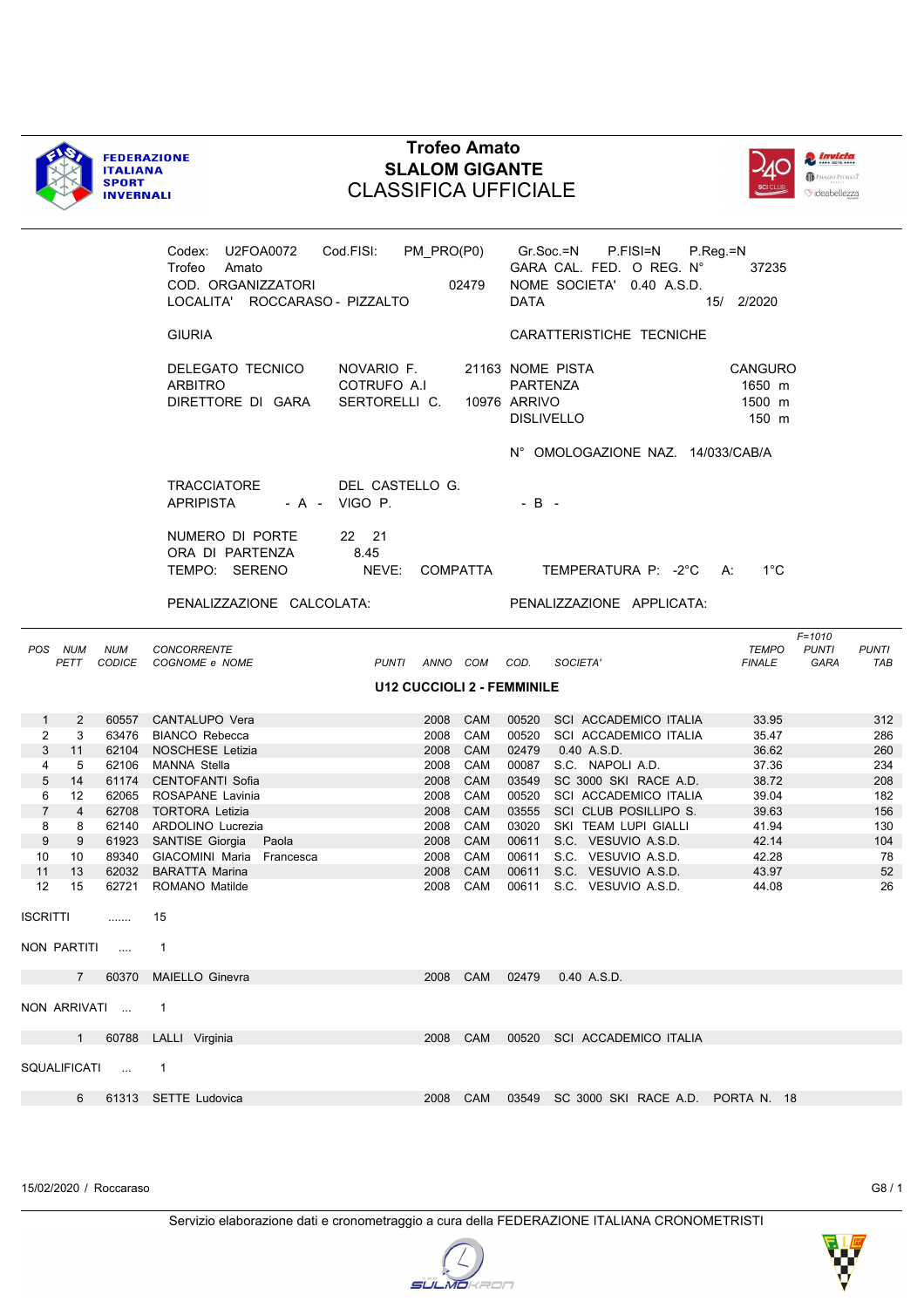



|                 |                   |                 | Codex: U2FOA0072<br>Trofeo Amato<br>COD. ORGANIZZATORI<br>LOCALITA' ROCCARASO - PIZZALTO | Cod.FISI: PM PRO(P0) Gr.Soc.=N             | 02479      | DATA                            | P.FISI=N<br>GARA CAL. FED. O REG. N°<br>NOME SOCIETA' 0.40 A.S.D. | $P_{\cdot}$ Reg = N<br>37235<br>15/ 2/2020  |                                                                  |
|-----------------|-------------------|-----------------|------------------------------------------------------------------------------------------|--------------------------------------------|------------|---------------------------------|-------------------------------------------------------------------|---------------------------------------------|------------------------------------------------------------------|
|                 |                   |                 | <b>GIURIA</b>                                                                            |                                            |            |                                 | CARATTERISTICHE TECNICHE                                          |                                             |                                                                  |
|                 |                   |                 | DELEGATO TECNICO<br><b>ARBITRO</b><br>DIRETTORE DI GARA                                  | NOVARIO F.<br>COTRUFO A.I<br>SERTORELLI C. |            | PARTENZA<br><b>10976 ARRIVO</b> | 21163 NOME PISTA<br><b>DISLIVELLO</b>                             | <b>CANGURO</b><br>1650 m<br>1500 m<br>150 m |                                                                  |
|                 |                   |                 |                                                                                          |                                            |            |                                 | N° OMOLOGAZIONE NAZ. 14/033/CAB/A                                 |                                             |                                                                  |
|                 |                   |                 | TRACCIATORE<br><b>APRIPISTA</b>                                                          | DEL CASTELLO G.<br>- A - VIGO P.           |            | $-B -$                          |                                                                   |                                             |                                                                  |
|                 |                   |                 | NUMERO DI PORTE<br>ORA DI PARTENZA<br>TEMPO: SERENO                                      | 22 21<br>8.45<br>NEVE: COMPATTA            |            |                                 | TEMPERATURA P: -2°C A:                                            | $1^{\circ}$ C                               |                                                                  |
|                 |                   |                 | PENALIZZAZIONE CALCOLATA:                                                                |                                            |            |                                 | PENALIZZAZIONE APPLICATA:                                         |                                             |                                                                  |
|                 | POS NUM<br>PETT   | <b>NUM</b>      | <b>CONCORRENTE</b><br>CODICE COGNOME e NOME                                              | PUNTI ANNO COM COD.                        |            |                                 | SOCIETA'                                                          | <b>TEMPO</b><br><b>FINALE</b>               | $F = 1010$<br><b>PUNTI</b><br><b>PUNTI</b><br><b>GARA</b><br>TAB |
|                 |                   |                 |                                                                                          | <b>U12 CUCCIOLI 2 - FEMMINILE</b>          |            |                                 |                                                                   |                                             |                                                                  |
|                 |                   |                 |                                                                                          |                                            |            |                                 |                                                                   |                                             |                                                                  |
| $\mathbf{1}$    | 2                 |                 | 60557 CANTALUPO Vera                                                                     |                                            | 2008 CAM   |                                 | 00520 SCI ACCADEMICO ITALIA                                       | 33.95                                       | 312                                                              |
| $\overline{2}$  | 3                 |                 | 63476 BIANCO Rebecca                                                                     | 2008                                       | CAM        |                                 | 00520 SCI ACCADEMICO ITALIA                                       | 35.47                                       | 286                                                              |
| 3               | 11                |                 | 62104 NOSCHESE Letizia                                                                   | 2008                                       | <b>CAM</b> |                                 | 02479  0.40  A.S.D.                                               | 36.62                                       | 260                                                              |
| 4               | 5                 |                 | 62106 MANNA Stella                                                                       | 2008                                       | CAM        | 00087                           | S.C. NAPOLI A.D.                                                  | 37.36                                       | 234                                                              |
| 5               | 14                |                 | 61174 CENTOFANTI Sofia                                                                   | 2008                                       | <b>CAM</b> |                                 | 03549 SC 3000 SKI RACE A.D.                                       | 38.72                                       | 208                                                              |
| 6               | $12 \overline{ }$ |                 | 62065 ROSAPANE Lavinia                                                                   | 2008                                       | CAM        |                                 | 00520 SCI ACCADEMICO ITALIA                                       | 39.04                                       | 182                                                              |
| $\overline{7}$  | $\overline{4}$    |                 | 62708 TORTORA Letizia                                                                    | 2008                                       | CAM        |                                 | 03555 SCI CLUB POSILLIPO S.                                       | 39.63                                       | 156                                                              |
| 8               | 8                 |                 | 62140 ARDOLINO Lucrezia                                                                  | 2008                                       | CAM        |                                 | 03020 SKI TEAM LUPI GIALLI                                        | 41.94                                       | 130                                                              |
| 9               | 9                 |                 | 61923 SANTISE Giorgia Paola                                                              |                                            | 2008 CAM   |                                 | 00611 S.C. VESUVIO A.S.D.                                         | 42.14                                       | 104                                                              |
| 10              | 10                |                 | 89340 GIACOMINI Maria Francesca                                                          | 2008                                       | CAM        |                                 | 00611 S.C. VESUVIO A.S.D.                                         | 42.28                                       | 78                                                               |
| 11              | 13                |                 | 62032 BARATTA Marina                                                                     | 2008                                       | <b>CAM</b> |                                 | 00611 S.C. VESUVIO A.S.D.                                         | 43.97                                       | 52                                                               |
| 12              | 15                |                 | 62721 ROMANO Matilde                                                                     | 2008                                       | CAM        |                                 | 00611 S.C. VESUVIO A.S.D.                                         | 44.08                                       | 26                                                               |
| <b>ISCRITTI</b> |                   | .               | 15                                                                                       |                                            |            |                                 |                                                                   |                                             |                                                                  |
|                 |                   | NON PARTITI  1  |                                                                                          |                                            |            |                                 |                                                                   |                                             |                                                                  |
|                 |                   |                 | 7 60370 MAIELLO Ginevra                                                                  |                                            |            |                                 | 2008 CAM 02479 0.40 A.S.D.                                        |                                             |                                                                  |
|                 |                   | NON ARRIVATI  1 |                                                                                          |                                            |            |                                 |                                                                   |                                             |                                                                  |
|                 |                   |                 | 1 60788 LALLI Virginia                                                                   |                                            |            |                                 | 2008 CAM 00520 SCI ACCADEMICO ITALIA                              |                                             |                                                                  |
|                 |                   | SQUALIFICATI  1 |                                                                                          |                                            |            |                                 |                                                                   |                                             |                                                                  |

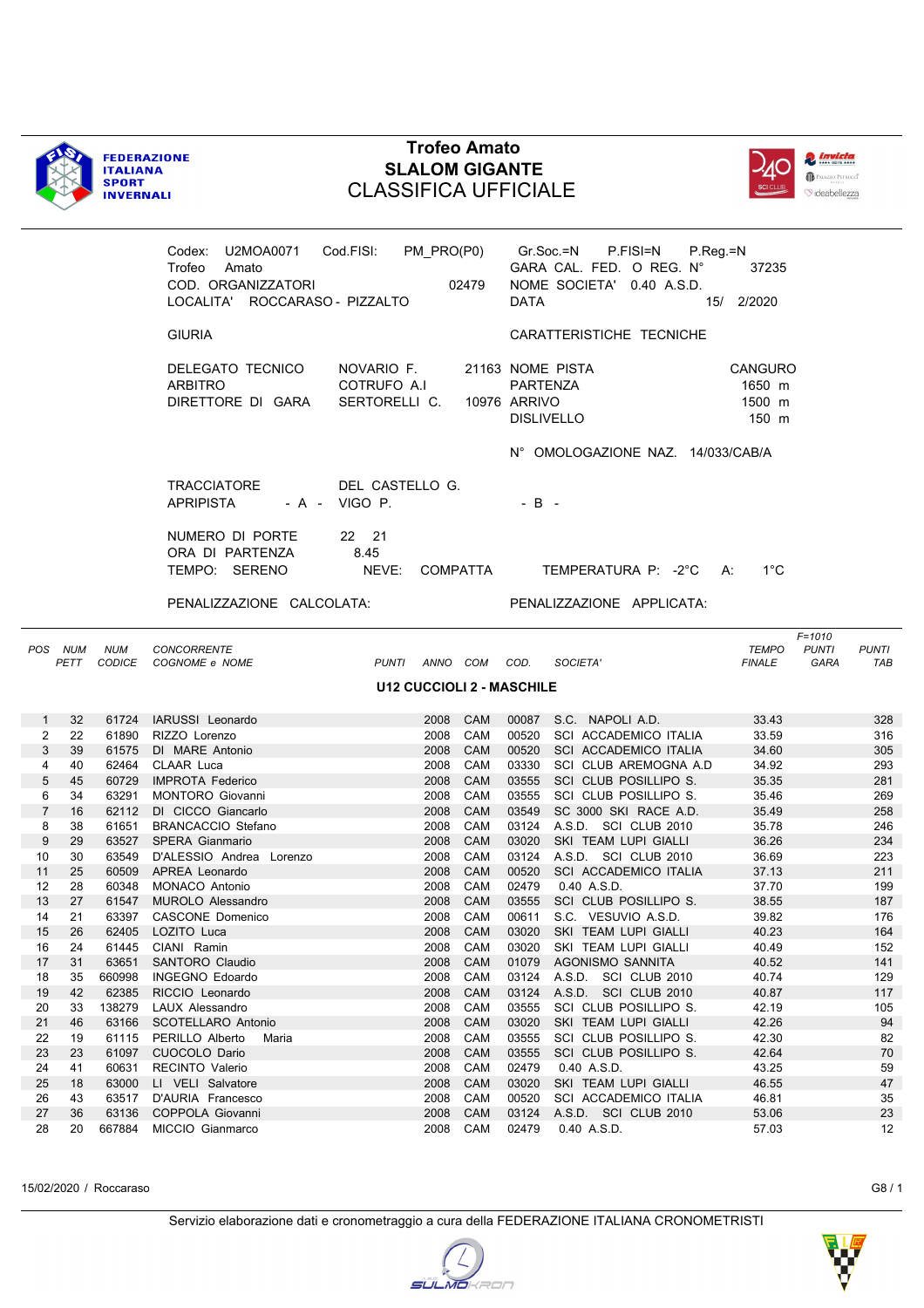



|                |                 |                | Codex: U2MOA0071 Cod.FISI: PM_PRO(P0)<br>Trofeo<br>Amato<br>COD. ORGANIZZATORI<br>LOCALITA' ROCCARASO - PIZZALTO | 02479                                      |                   | <b>DATA</b>                                                       |                                     | Gr.Soc.=N P.FISI=N P.Reg.=N<br>GARA CAL. FED. O REG. N°<br>NOME SOCIETA' 0.40 A.S.D. | 37235<br>15/ 2/2020                  |                                           |                     |
|----------------|-----------------|----------------|------------------------------------------------------------------------------------------------------------------|--------------------------------------------|-------------------|-------------------------------------------------------------------|-------------------------------------|--------------------------------------------------------------------------------------|--------------------------------------|-------------------------------------------|---------------------|
|                |                 |                | <b>GIURIA</b>                                                                                                    |                                            |                   |                                                                   |                                     | CARATTERISTICHE TECNICHE                                                             |                                      |                                           |                     |
|                |                 |                | DELEGATO TECNICO<br>ARBITRO<br>DIRETTORE DI GARA                                                                 | NOVARIO F.<br>COTRUFO A.I<br>SERTORELLI C. |                   | 21163 NOME PISTA<br>PARTENZA<br>10976 ARRIVO<br><b>DISLIVELLO</b> |                                     |                                                                                      | CANGURO<br>1650 m<br>1500 m<br>150 m |                                           |                     |
|                |                 |                |                                                                                                                  |                                            |                   |                                                                   |                                     | N° OMOLOGAZIONE NAZ. 14/033/CAB/A                                                    |                                      |                                           |                     |
|                |                 |                | TRACCIATORE<br><b>APRIPISTA</b>                                                                                  | DEL CASTELLO G.<br>$-A - VIGO P.$          |                   | $-B -$                                                            |                                     |                                                                                      |                                      |                                           |                     |
|                |                 |                | NUMERO DI PORTE<br>ORA DI PARTENZA<br>TEMPO: SERENO                                                              | 22 21<br>8.45<br>NEVE: COMPATTA            |                   |                                                                   |                                     | TEMPERATURA P: -2°C A:                                                               | $1^{\circ}$ C                        |                                           |                     |
|                |                 |                | PENALIZZAZIONE CALCOLATA:                                                                                        |                                            |                   |                                                                   |                                     | PENALIZZAZIONE APPLICATA:                                                            |                                      |                                           |                     |
|                | POS NUM<br>PETT | <b>NUM</b>     | <b>CONCORRENTE</b><br>CODICE COGNOME e NOME                                                                      | PUNTI ANNO COM COD.                        |                   |                                                                   | SOCIETA'                            |                                                                                      | <b>TEMPO</b><br><b>FINALE</b>        | $F = 1010$<br><b>PUNTI</b><br><b>GARA</b> | <b>PUNTI</b><br>TAB |
|                |                 |                |                                                                                                                  | <b>U12 CUCCIOLI 2 - MASCHILE</b>           |                   |                                                                   |                                     |                                                                                      |                                      |                                           |                     |
| $\mathbf{1}$   | 32              |                | 61724 IARUSSI Leonardo                                                                                           | 2008 CAM                                   |                   |                                                                   | 00087 S.C. NAPOLI A.D.              |                                                                                      | 33.43                                |                                           | 328                 |
| 2              | 22              |                | 61890 RIZZO Lorenzo                                                                                              | 2008 CAM                                   |                   |                                                                   |                                     | 00520 SCI ACCADEMICO ITALIA                                                          | 33.59                                |                                           | 316                 |
| 3<br>4         | 39<br>40        |                | 61575 DI MARE Antonio<br>62464 CLAAR Luca                                                                        | 2008 CAM<br>2008 CAM                       |                   |                                                                   |                                     | 00520 SCI ACCADEMICO ITALIA<br>03330 SCI CLUB AREMOGNA A.D                           | 34.60<br>34.92                       |                                           | 305<br>293          |
| 5              | 45              |                | 60729 IMPROTA Federico                                                                                           | 2008                                       | CAM               |                                                                   |                                     | 03555 SCI CLUB POSILLIPO S.                                                          | 35.35                                |                                           | 281                 |
| 6              | 34              |                | 63291 MONTORO Giovanni                                                                                           | 2008                                       | CAM               |                                                                   |                                     | 03555 SCI CLUB POSILLIPO S.                                                          | 35.46                                |                                           | 269                 |
| $\overline{7}$ | 16              |                | 62112 DI CICCO Giancarlo                                                                                         | 2008                                       | CAM               | 03549                                                             |                                     | SC 3000 SKI RACE A.D.                                                                | 35.49                                |                                           | 258                 |
| 8              | 38              |                | 61651 BRANCACCIO Stefano                                                                                         | 2008                                       | CAM               |                                                                   |                                     | 03124 A.S.D. SCI CLUB 2010                                                           | 35.78                                |                                           | 246                 |
| 9              | 29              |                | 63527 SPERA Gianmario                                                                                            | 2008                                       | CAM               | 03020                                                             | SKI TEAM LUPI GIALLI                |                                                                                      | 36.26                                |                                           | 234                 |
| 10             | 30              |                | 63549 D'ALESSIO Andrea Lorenzo                                                                                   | 2008 CAM                                   |                   |                                                                   |                                     | 03124 A.S.D. SCI CLUB 2010                                                           | 36.69                                |                                           | 223                 |
| 11             | 25              |                | 60509 APREA Leonardo                                                                                             | 2008                                       | <b>CAM</b>        |                                                                   |                                     | 00520 SCI ACCADEMICO ITALIA                                                          | 37.13                                |                                           | 211                 |
| 12             | 28              |                | 60348 MONACO Antonio                                                                                             | 2008 CAM                                   |                   |                                                                   | 02479  0.40 A.S.D.                  |                                                                                      | 37.70                                |                                           | 199                 |
| 13             | 27              |                | 61547 MUROLO Alessandro                                                                                          | 2008                                       | <b>CAM</b>        |                                                                   |                                     | 03555 SCI CLUB POSILLIPO S.                                                          | 38.55                                |                                           | 187                 |
| 14             | 21              |                | 63397 CASCONE Domenico                                                                                           | 2008 CAM                                   |                   |                                                                   | 00611 S.C. VESUVIO A.S.D.           |                                                                                      | 39.82                                |                                           | 176                 |
| 15             | 26              |                | 62405 LOZITO Luca                                                                                                |                                            |                   |                                                                   | 2008 CAM 03020 SKI TEAM LUPI GIALLI |                                                                                      | 40.23                                |                                           | 164                 |
| 16             | 24              | 61445          | CIANI Ramin                                                                                                      | 2008                                       | CAM               | 03020                                                             | SKI TEAM LUPI GIALLI                |                                                                                      | 40.49                                |                                           | 152                 |
| 17             | 31              | 63651          | SANTORO Claudio                                                                                                  | 2008                                       | CAM               | 01079                                                             | AGONISMO SANNITA                    |                                                                                      | 40.52                                |                                           | 141                 |
| 18             | 35              | 660998         | INGEGNO Edoardo                                                                                                  | 2008                                       | CAM               | 03124                                                             | A.S.D. SCI CLUB 2010                |                                                                                      | 40.74                                |                                           | 129                 |
| 19             | 42              | 62385          | RICCIO Leonardo                                                                                                  | 2008                                       | CAM               | 03124                                                             | A.S.D. SCI CLUB 2010                |                                                                                      | 40.87                                |                                           | 117                 |
| 20             | 33              | 138279         | LAUX Alessandro                                                                                                  | 2008                                       | CAM               | 03555<br>03020                                                    |                                     | SCI CLUB POSILLIPO S.                                                                | 42.19<br>42.26                       |                                           | 105<br>94           |
| 21<br>22       | 46<br>19        | 63166<br>61115 | SCOTELLARO Antonio<br>PERILLO Alberto                                                                            | 2008<br>2008                               | <b>CAM</b><br>CAM | 03555                                                             | SKI TEAM LUPI GIALLI                | SCI CLUB POSILLIPO S.                                                                | 42.30                                |                                           | 82                  |
| 23             | 23              | 61097          | Maria<br>CUOCOLO Dario                                                                                           | 2008                                       | CAM               | 03555                                                             |                                     | SCI CLUB POSILLIPO S.                                                                | 42.64                                |                                           | 70                  |
| 24             | 41              | 60631          | <b>RECINTO Valerio</b>                                                                                           | 2008                                       | CAM               | 02479                                                             | 0.40 A.S.D.                         |                                                                                      | 43.25                                |                                           | 59                  |
| 25             | 18              | 63000          | LI VELI Salvatore                                                                                                | 2008                                       | CAM               | 03020                                                             | SKI TEAM LUPI GIALLI                |                                                                                      | 46.55                                |                                           | 47                  |
| 26             | 43              | 63517          | D'AURIA Francesco                                                                                                | 2008                                       | CAM               | 00520                                                             |                                     | SCI ACCADEMICO ITALIA                                                                | 46.81                                |                                           | 35                  |
| 27             | 36              | 63136          | COPPOLA Giovanni                                                                                                 | 2008                                       | CAM               | 03124                                                             | A.S.D. SCI CLUB 2010                |                                                                                      | 53.06                                |                                           | 23                  |
| 28             | 20              | 667884         | MICCIO Gianmarco                                                                                                 | 2008                                       | CAM               | 02479                                                             | 0.40 A.S.D.                         |                                                                                      | 57.03                                |                                           | 12                  |

15/02/2020 / Roccaraso G8 / 1

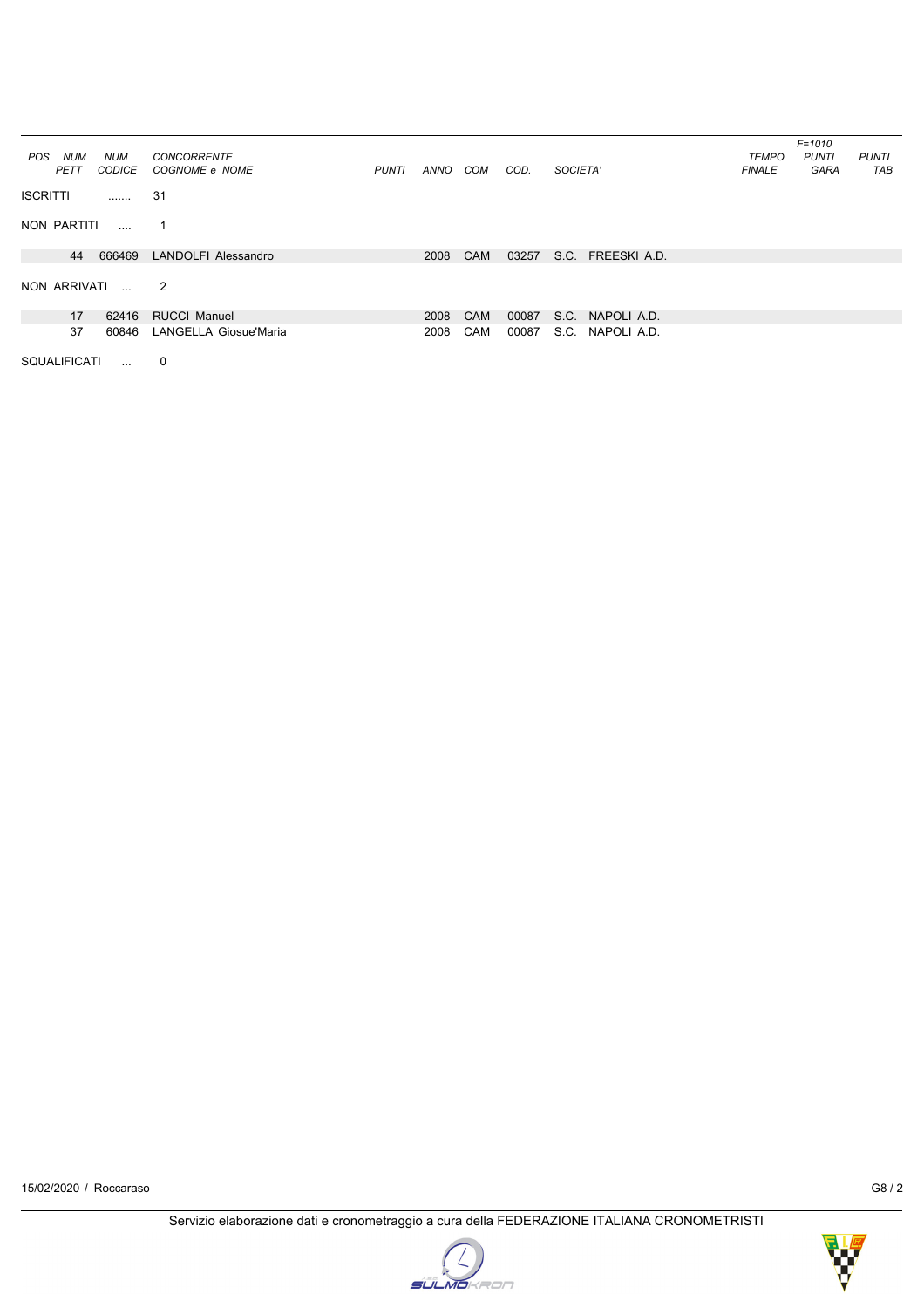|                   |               |                       |              |      |            |       |                     |               | $F = 1010$   |              |
|-------------------|---------------|-----------------------|--------------|------|------------|-------|---------------------|---------------|--------------|--------------|
| <b>NUM</b><br>POS | NUM           | <b>CONCORRENTE</b>    |              |      |            |       |                     | <b>TEMPO</b>  | <b>PUNTI</b> | <b>PUNTI</b> |
| PETT              | <b>CODICE</b> | COGNOME e NOME        | <b>PUNTI</b> | ANNO | COM        | COD.  | SOCIETA'            | <b>FINALE</b> | GARA         | TAB          |
| <b>ISCRITTI</b>   | .             | 31                    |              |      |            |       |                     |               |              |              |
| NON PARTITI       | $\ldots$      | 1                     |              |      |            |       |                     |               |              |              |
| 44                | 666469        | LANDOLFI Alessandro   |              | 2008 | <b>CAM</b> | 03257 | S.C. FREESKI A.D.   |               |              |              |
|                   |               |                       |              |      |            |       |                     |               |              |              |
| NON ARRIVATI      | $\mathbf{r}$  | $\overline{2}$        |              |      |            |       |                     |               |              |              |
| 17                | 62416         | <b>RUCCI Manuel</b>   |              | 2008 | CAM        | 00087 | S.C. NAPOLI A.D.    |               |              |              |
| 37                | 60846         | LANGELLA Giosue'Maria |              | 2008 | <b>CAM</b> | 00087 | S.C.<br>NAPOLI A.D. |               |              |              |

SQUALIFICATI ... 0



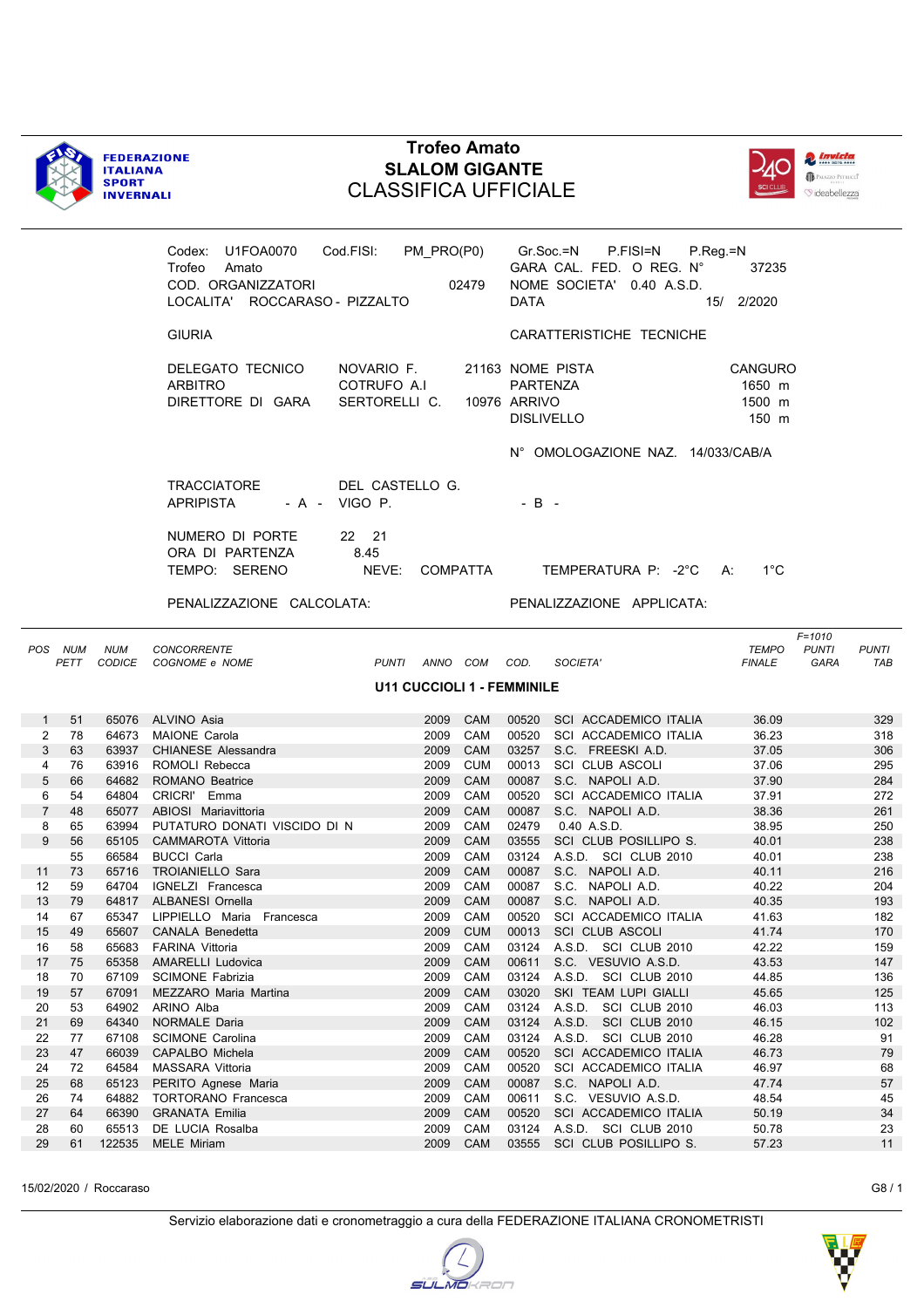



|                     |                 |                | Codex: U1FOA0070 Cod.FISI: PM_PRO(P0) Gr.Soc.=N P.FISI=N P.Reg.=N<br>Trofeo Amato<br>COD. ORGANIZZATORI<br>LOCALITA' ROCCARASO - PIZZALTO |                                            |                      | 02479                             | DATA           |                                              | GARA CAL. FED. O REG. N°<br>NOME SOCIETA' 0.40 A.S.D. | 37235<br>15/ 2/2020                  |                                    |                     |
|---------------------|-----------------|----------------|-------------------------------------------------------------------------------------------------------------------------------------------|--------------------------------------------|----------------------|-----------------------------------|----------------|----------------------------------------------|-------------------------------------------------------|--------------------------------------|------------------------------------|---------------------|
|                     |                 |                | <b>GIURIA</b>                                                                                                                             |                                            |                      |                                   |                |                                              | CARATTERISTICHE TECNICHE                              |                                      |                                    |                     |
|                     |                 |                | DELEGATO TECNICO<br>ARBITRO<br>DIRETTORE DI GARA                                                                                          | NOVARIO F.<br>COTRUFO A.I<br>SERTORELLI C. |                      | 10976 ARRIVO                      | PARTENZA       | 21163 NOME PISTA<br><b>DISLIVELLO</b>        |                                                       | CANGURO<br>1650 m<br>1500 m<br>150 m |                                    |                     |
|                     |                 |                |                                                                                                                                           |                                            |                      |                                   |                |                                              | N° OMOLOGAZIONE NAZ. 14/033/CAB/A                     |                                      |                                    |                     |
|                     |                 |                | TRACCIATORE<br><b>APRIPISTA</b>                                                                                                           | DEL CASTELLO G.<br>- A - VIGO P.           |                      |                                   | $-B -$         |                                              |                                                       |                                      |                                    |                     |
|                     |                 |                | NUMERO DI PORTE                                                                                                                           | 22 21                                      |                      |                                   |                |                                              |                                                       |                                      |                                    |                     |
|                     |                 |                | ORA DI PARTENZA<br>TEMPO: SERENO                                                                                                          | 8.45<br>NEVE: COMPATTA                     |                      |                                   |                |                                              | TEMPERATURA P: -2°C A:                                | $1^{\circ}$ C                        |                                    |                     |
|                     |                 |                |                                                                                                                                           |                                            |                      |                                   |                |                                              |                                                       |                                      |                                    |                     |
|                     |                 |                | PENALIZZAZIONE CALCOLATA:                                                                                                                 |                                            |                      |                                   |                |                                              | PENALIZZAZIONE APPLICATA:                             |                                      |                                    |                     |
|                     | POS NUM<br>PETT | <b>NUM</b>     | <b>CONCORRENTE</b><br>CODICE COGNOME e NOME                                                                                               |                                            |                      | PUNTI ANNO COM COD.               |                | SOCIETA'                                     |                                                       | TEMPO<br><b>FINALE</b>               | $F = 1010$<br><b>PUNTI</b><br>GARA | <b>PUNTI</b><br>TAB |
|                     |                 |                |                                                                                                                                           |                                            |                      | <b>U11 CUCCIOLI 1 - FEMMINILE</b> |                |                                              |                                                       |                                      |                                    |                     |
| $\mathbf{1}$        | 51              |                | 65076 ALVINO Asia                                                                                                                         |                                            |                      | 2009 CAM                          |                |                                              | 00520 SCI ACCADEMICO ITALIA                           | 36.09                                |                                    | 329                 |
| 2                   | 78              |                | 64673 MAIONE Carola                                                                                                                       |                                            |                      | 2009 CAM                          |                |                                              | 00520 SCI ACCADEMICO ITALIA                           | 36.23                                |                                    | 318                 |
| 3                   | 63              |                | 63937 CHIANESE Alessandra                                                                                                                 |                                            | 2009 CAM             |                                   |                | 03257 S.C. FREESKI A.D.                      |                                                       | 37.05                                |                                    | 306                 |
| 4                   | 76              |                | 63916 ROMOLI Rebecca                                                                                                                      |                                            |                      | 2009 CUM                          |                | 00013 SCI CLUB ASCOLI                        |                                                       | 37.06                                |                                    | 295                 |
| 5                   | 66              |                | 64682 ROMANO Beatrice                                                                                                                     |                                            | 2009 CAM             |                                   |                | 00087 S.C. NAPOLI A.D.                       |                                                       | 37.90                                |                                    | 284                 |
| 6<br>$\overline{7}$ | 54<br>48        |                | 64804 CRICRI' Emma                                                                                                                        |                                            | 2009 CAM<br>2009 CAM |                                   |                | 00087 S.C. NAPOLI A.D.                       | 00520 SCI ACCADEMICO ITALIA                           | 37.91<br>38.36                       |                                    | 272<br>261          |
| 8                   | 65              |                | 65077 ABIOSI Mariavittoria<br>63994 PUTATURO DONATI VISCIDO DI N                                                                          |                                            | 2009 CAM             |                                   | 02479          | 0.40 A.S.D.                                  |                                                       | 38.95                                |                                    | 250                 |
| 9                   | 56              |                | 65105 CAMMAROTA Vittoria                                                                                                                  |                                            | 2009 CAM             |                                   |                | 03555 SCI CLUB POSILLIPO S.                  |                                                       | 40.01                                |                                    | 238                 |
|                     | 55              |                | 66584 BUCCI Carla                                                                                                                         |                                            | 2009 CAM             |                                   |                | 03124 A.S.D. SCI CLUB 2010                   |                                                       | 40.01                                |                                    | 238                 |
| 11                  | 73              |                | 65716 TROIANIELLO Sara                                                                                                                    |                                            | 2009 CAM             |                                   |                | 00087 S.C. NAPOLI A.D.                       |                                                       | 40.11                                |                                    | 216                 |
| 12                  | 59              |                | 64704 IGNELZI Francesca                                                                                                                   |                                            | 2009 CAM             |                                   |                | 00087 S.C. NAPOLI A.D.                       |                                                       | 40.22                                |                                    | 204                 |
| 13                  | - 79            |                | 64817 ALBANESI Ornella                                                                                                                    |                                            | 2009 CAM             |                                   |                | 00087 S.C. NAPOLI A.D.                       |                                                       | 40.35                                |                                    | 193                 |
| 14                  | 67              |                | 65347 LIPPIELLO Maria Francesca                                                                                                           |                                            | 2009 CAM             |                                   |                |                                              | 00520 SCI ACCADEMICO ITALIA                           | 41.63                                |                                    | 182                 |
| 15                  | 49              |                | 65607 CANALA Benedetta                                                                                                                    |                                            |                      |                                   |                | 2009 CUM 00013 SCI CLUB ASCOLI               |                                                       | 41.74                                |                                    | 170                 |
| 16                  | 58              | 65683          | <b>FARINA Vittoria</b>                                                                                                                    |                                            | 2009                 | CAM                               | 03124          | A.S.D. SCI CLUB 2010                         |                                                       | 42.22                                |                                    | 159                 |
| 17                  | 75              | 65358          | <b>AMARELLI Ludovica</b>                                                                                                                  |                                            | 2009                 | CAM                               | 00611          | S.C. VESUVIO A.S.D.                          |                                                       | 43.53                                |                                    | 147                 |
| 18<br>19            | 70<br>57        | 67109<br>67091 | <b>SCIMONE Fabrizia</b><br>MEZZARO Maria Martina                                                                                          |                                            | 2009<br>2009         | CAM<br>CAM                        | 03124<br>03020 | A.S.D. SCI CLUB 2010<br>SKI TEAM LUPI GIALLI |                                                       | 44.85<br>45.65                       |                                    | 136<br>125          |
| 20                  | 53              | 64902          | ARINO Alba                                                                                                                                |                                            | 2009                 | CAM                               | 03124          | A.S.D. SCI CLUB 2010                         |                                                       | 46.03                                |                                    | 113                 |
| 21                  | 69              | 64340          | NORMALE Daria                                                                                                                             |                                            | 2009                 | CAM                               | 03124          | A.S.D.                                       | SCI CLUB 2010                                         | 46.15                                |                                    | 102                 |
| 22                  | 77              | 67108          | <b>SCIMONE Carolina</b>                                                                                                                   |                                            | 2009                 | CAM                               | 03124          | A.S.D. SCI CLUB 2010                         |                                                       | 46.28                                |                                    | 91                  |
| 23                  | 47              | 66039          | CAPALBO Michela                                                                                                                           |                                            | 2009                 | CAM                               | 00520          |                                              | SCI ACCADEMICO ITALIA                                 | 46.73                                |                                    | 79                  |
| 24                  | 72              | 64584          | <b>MASSARA Vittoria</b>                                                                                                                   |                                            | 2009                 | CAM                               | 00520          |                                              | SCI ACCADEMICO ITALIA                                 | 46.97                                |                                    | 68                  |
| 25                  | 68              | 65123          | PERITO Agnese Maria                                                                                                                       |                                            | 2009                 | <b>CAM</b>                        | 00087          | S.C. NAPOLI A.D.                             |                                                       | 47.74                                |                                    | 57                  |
| 26                  | 74              | 64882          | <b>TORTORANO Francesca</b>                                                                                                                |                                            | 2009                 | CAM                               | 00611          | S.C. VESUVIO A.S.D.                          |                                                       | 48.54                                |                                    | 45                  |
| 27                  | 64              | 66390          | <b>GRANATA Emilia</b>                                                                                                                     |                                            | 2009                 | CAM                               | 00520          |                                              | SCI ACCADEMICO ITALIA                                 | 50.19                                |                                    | 34                  |
| 28                  | 60              | 65513          | DE LUCIA Rosalba                                                                                                                          |                                            | 2009                 | CAM                               | 03124          | A.S.D. SCI CLUB 2010                         |                                                       | 50.78                                |                                    | 23                  |
| 29                  | 61              | 122535         | <b>MELE Miriam</b>                                                                                                                        |                                            | 2009                 | CAM                               | 03555          |                                              | SCI CLUB POSILLIPO S.                                 | 57.23                                |                                    | 11                  |

15/02/2020 / Roccaraso G8 / 1

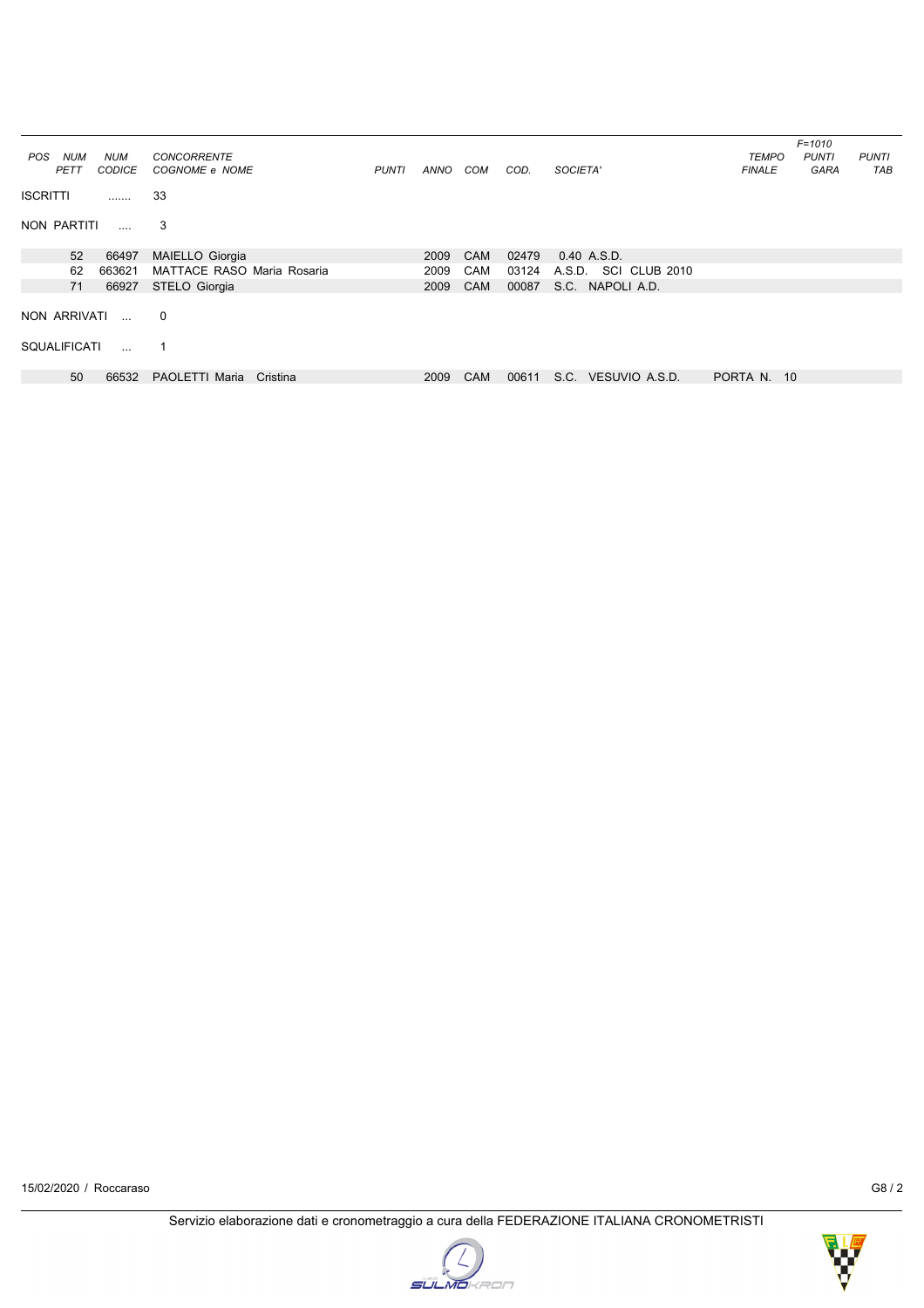| <b>NUM</b><br>POS<br>PETT | <b>NUM</b><br><b>CODICE</b> | <b>CONCORRENTE</b><br>COGNOME e NOME | <b>PUNTI</b> | ANNO | COM        | COD.  | SOCIETA'                | <b>TEMPO</b><br><b>FINALE</b> | $F = 1010$<br><b>PUNTI</b><br>GARA | <b>PUNTI</b><br>TAB |
|---------------------------|-----------------------------|--------------------------------------|--------------|------|------------|-------|-------------------------|-------------------------------|------------------------------------|---------------------|
| <b>ISCRITTI</b>           | .                           | 33                                   |              |      |            |       |                         |                               |                                    |                     |
| NON PARTITI               | $\cdots$                    | 3                                    |              |      |            |       |                         |                               |                                    |                     |
| 52                        | 66497                       | MAIELLO Giorgia                      |              | 2009 | <b>CAM</b> | 02479 | 0.40 A.S.D.             |                               |                                    |                     |
| 62                        | 663621                      | MATTACE RASO Maria Rosaria           |              | 2009 | <b>CAM</b> | 03124 | A.S.D.<br>SCI CLUB 2010 |                               |                                    |                     |
| 71                        | 66927                       | STELO Giorgia                        |              | 2009 | <b>CAM</b> | 00087 | S.C. NAPOLI A.D.        |                               |                                    |                     |
| NON ARRIVATI              | $\mathbf{r}$                | $\overline{0}$                       |              |      |            |       |                         |                               |                                    |                     |
| <b>SQUALIFICATI</b>       | $\sim$                      | -1                                   |              |      |            |       |                         |                               |                                    |                     |
| 50                        | 66532                       | PAOLETTI Maria Cristina              |              | 2009 | <b>CAM</b> | 00611 | S.C. VESUVIO A.S.D.     | PORTA N. 10                   |                                    |                     |



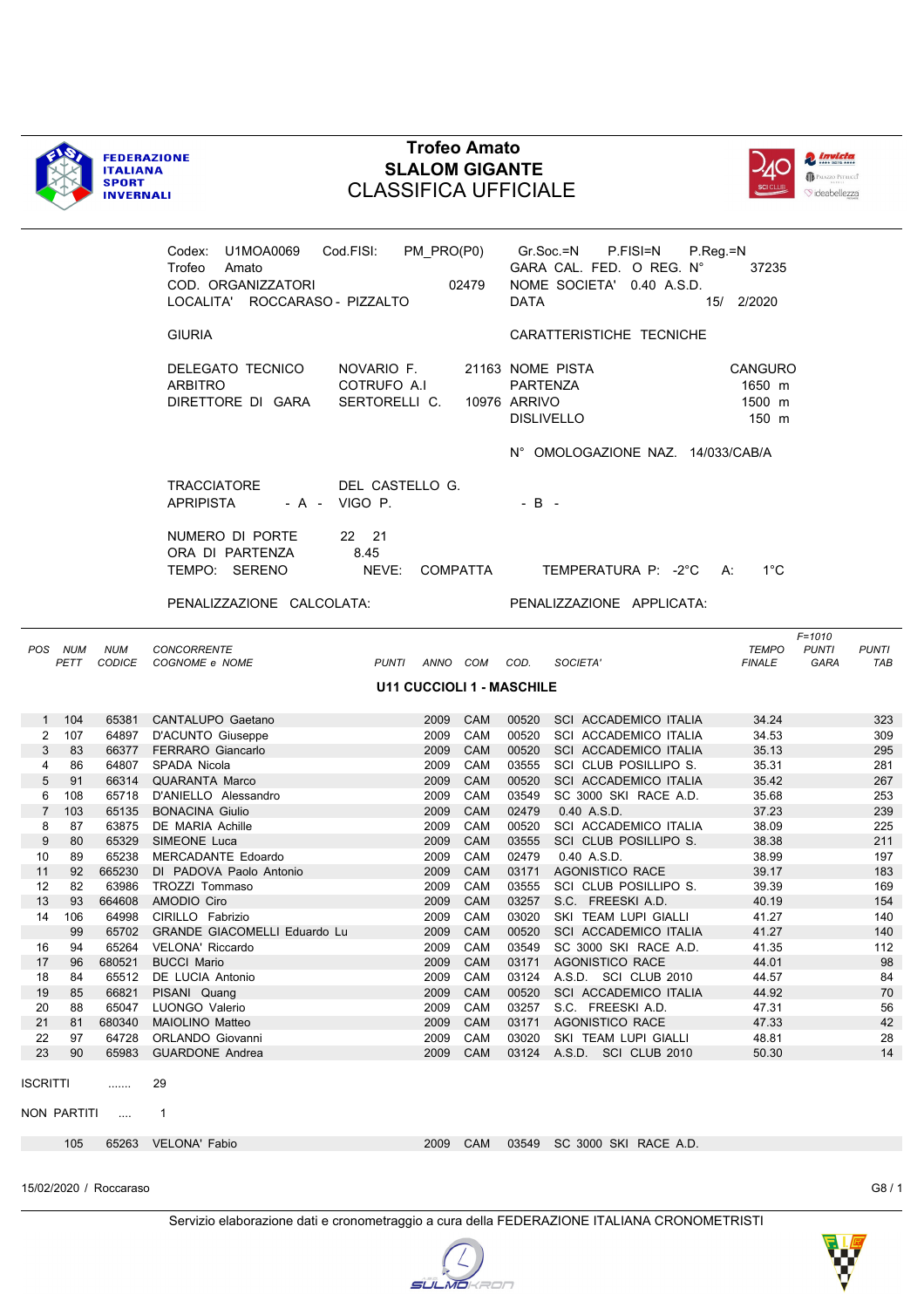



|                 |                                  |            | Codex: U1MOA0069 Cod.FISI: PM_PRO(P0) Gr.Soc.=N P.FISI=N P.Reg.=N |               |                                   |                     |                           |                                   |                |                                            |  |  |  |  |
|-----------------|----------------------------------|------------|-------------------------------------------------------------------|---------------|-----------------------------------|---------------------|---------------------------|-----------------------------------|----------------|--------------------------------------------|--|--|--|--|
|                 | Trofeo Amato                     |            |                                                                   |               | GARA CAL. FED. O REG. N°<br>37235 |                     |                           |                                   |                |                                            |  |  |  |  |
|                 |                                  |            | COD. ORGANIZZATORI<br>02479                                       |               |                                   |                     | NOME SOCIETA' 0.40 A.S.D. |                                   |                |                                            |  |  |  |  |
|                 |                                  |            | LOCALITA' ROCCARASO - PIZZALTO                                    |               |                                   |                     | <b>DATA</b>               |                                   | 15/ 2/2020     |                                            |  |  |  |  |
|                 |                                  |            | <b>GIURIA</b>                                                     |               |                                   |                     |                           | CARATTERISTICHE TECNICHE          |                |                                            |  |  |  |  |
|                 |                                  |            | DELEGATO TECNICO                                                  | NOVARIO F.    |                                   |                     |                           | 21163 NOME PISTA                  | <b>CANGURO</b> |                                            |  |  |  |  |
|                 |                                  |            | <b>ARBITRO</b>                                                    | COTRUFO A.I   |                                   |                     | PARTENZA                  |                                   | 1650 m         |                                            |  |  |  |  |
|                 |                                  |            | DIRETTORE DI GARA                                                 | SERTORELLI C. |                                   |                     | 10976 ARRIVO              |                                   | 1500 m         |                                            |  |  |  |  |
|                 |                                  |            |                                                                   |               |                                   |                     |                           | <b>DISLIVELLO</b>                 | 150 m          |                                            |  |  |  |  |
|                 |                                  |            |                                                                   |               |                                   |                     |                           | N° OMOLOGAZIONE NAZ. 14/033/CAB/A |                |                                            |  |  |  |  |
|                 | TRACCIATORE<br>DEL CASTELLO G.   |            |                                                                   |               |                                   |                     |                           |                                   |                |                                            |  |  |  |  |
|                 |                                  |            | APRIPISTA<br>- A - VIGO P.                                        |               |                                   | $-B -$              |                           |                                   |                |                                            |  |  |  |  |
|                 |                                  |            | NUMERO DI PORTE                                                   | 22 21         |                                   |                     |                           |                                   |                |                                            |  |  |  |  |
|                 |                                  |            | ORA DI PARTENZA                                                   | 8.45          |                                   |                     |                           |                                   |                |                                            |  |  |  |  |
|                 |                                  |            | TEMPO: SERENO                                                     | NEVE:         |                                   | COMPATTA            |                           | TEMPERATURA P: -2°C A:            | $1^{\circ}$ C  |                                            |  |  |  |  |
|                 |                                  |            | PENALIZZAZIONE CALCOLATA:                                         |               |                                   |                     |                           | PENALIZZAZIONE APPLICATA:         |                |                                            |  |  |  |  |
|                 |                                  |            |                                                                   |               |                                   |                     |                           |                                   |                |                                            |  |  |  |  |
|                 | POS NUM                          | <b>NUM</b> | <b>CONCORRENTE</b>                                                |               |                                   |                     |                           |                                   | <b>TEMPO</b>   | $F = 1010$<br><b>PUNTI</b><br><b>PUNTI</b> |  |  |  |  |
|                 | PETT                             |            | CODICE COGNOME e NOME                                             |               |                                   | PUNTI ANNO COM COD. |                           | SOCIETA'                          | <b>FINALE</b>  | GARA<br>TAB                                |  |  |  |  |
|                 | <b>U11 CUCCIOLI 1 - MASCHILE</b> |            |                                                                   |               |                                   |                     |                           |                                   |                |                                            |  |  |  |  |
|                 |                                  |            |                                                                   |               |                                   |                     |                           |                                   |                |                                            |  |  |  |  |
|                 | 1 104                            |            | 65381 CANTALUPO Gaetano                                           |               |                                   | 2009 CAM            |                           | 00520 SCI ACCADEMICO ITALIA       | 34.24          | 323                                        |  |  |  |  |
| $\overline{2}$  | 107                              |            | 64897 D'ACUNTO Giuseppe                                           |               |                                   | 2009 CAM            |                           | 00520 SCI ACCADEMICO ITALIA       | 34.53          | 309                                        |  |  |  |  |
| 3               | 83                               |            | 66377 FERRARO Giancarlo                                           |               | 2009                              | CAM                 |                           | 00520 SCI ACCADEMICO ITALIA       | 35.13          | 295                                        |  |  |  |  |
| 4               | 86                               |            | 64807 SPADA Nicola                                                |               | 2009                              | CAM                 |                           | 03555 SCI CLUB POSILLIPO S.       | 35.31          | 281                                        |  |  |  |  |
| 5               | 91                               |            | 66314 QUARANTA Marco                                              |               | 2009                              | CAM                 |                           | 00520 SCI ACCADEMICO ITALIA       | 35.42          | 267                                        |  |  |  |  |
| 6               | 108                              |            | 65718 D'ANIELLO Alessandro                                        |               | 2009                              | CAM                 |                           | 03549 SC 3000 SKI RACE A.D.       | 35.68          | 253                                        |  |  |  |  |
| $\overline{7}$  | 103                              |            | 65135 BONACINA Giulio                                             |               | 2009                              | CAM                 | 02479                     | 0.40 A.S.D.                       | 37.23          | 239                                        |  |  |  |  |
| 8               | 87                               |            | 63875 DE MARIA Achille                                            |               | 2009                              | CAM                 |                           | 00520 SCI ACCADEMICO ITALIA       | 38.09          | 225                                        |  |  |  |  |
| 9               | 80                               |            | 65329 SIMEONE Luca                                                |               | 2009                              | CAM                 |                           | 03555 SCI CLUB POSILLIPO S.       | 38.38          | 211                                        |  |  |  |  |
| 10              | 89                               |            | 65238 MERCADANTE Edoardo                                          |               | 2009                              | <b>CAM</b>          | 02479                     | 0.40 A.S.D.                       | 38.99          | 197                                        |  |  |  |  |
| 11              | 92                               |            | 665230 DI PADOVA Paolo Antonio                                    |               | 2009                              | CAM                 |                           | 03171 AGONISTICO RACE             | 39.17          | 183                                        |  |  |  |  |
| 12              | 82                               |            | 63986 TROZZI Tommaso                                              |               | 2009                              | CAM                 |                           | 03555 SCI CLUB POSILLIPO S.       | 39.39          | 169                                        |  |  |  |  |
| 13              | 93                               |            | 664608 AMODIO Ciro                                                |               | 2009                              | CAM                 |                           | 03257 S.C. FREESKI A.D.           | 40.19          | 154                                        |  |  |  |  |
| 14              | 106                              |            | 64998 CIRILLO Fabrizio                                            |               |                                   | 2009 CAM            |                           | 03020 SKI TEAM LUPI GIALLI        | 41.27          | 140                                        |  |  |  |  |
|                 | 99                               |            | 65702 GRANDE GIACOMELLI Eduardo Lu                                |               | 2009                              | <b>CAM</b>          |                           | 00520 SCI ACCADEMICO ITALIA       | 41.27          | 140                                        |  |  |  |  |
| 16              | 94                               |            | 65264 VELONA' Riccardo                                            |               | 2009                              | CAM                 | 03549                     | SC 3000 SKI RACE A.D.             | 41.35          | 112                                        |  |  |  |  |
| 17              | 96                               | 680521     | <b>BUCCI Mario</b>                                                |               | 2009                              | <b>CAM</b>          |                           | 03171 AGONISTICO RACE             | 44.01          | 98                                         |  |  |  |  |
| 18              | 84                               |            | 65512 DE LUCIA Antonio                                            |               | 2009                              | CAM                 |                           | 03124 A.S.D. SCI CLUB 2010        | 44.57          | 84                                         |  |  |  |  |
| 19              | 85                               | 66821      | PISANI Quang                                                      |               | 2009                              | CAM                 | 00520                     | SCI ACCADEMICO ITALIA             | 44.92          | 70                                         |  |  |  |  |
| 20              | 88                               |            | 65047 LUONGO Valerio                                              |               | 2009                              | CAM                 |                           | 03257 S.C. FREESKI A.D.           | 47.31          | 56                                         |  |  |  |  |
| 21              | 81                               |            | 680340 MAIOLINO Matteo                                            |               | 2009                              | CAM                 |                           | 03171 AGONISTICO RACE             | 47.33          | 42                                         |  |  |  |  |
| 22              | 97                               |            | 64728 ORLANDO Giovanni                                            |               | 2009                              | CAM                 |                           | 03020 SKI TEAM LUPI GIALLI        | 48.81          | 28                                         |  |  |  |  |
| 23              | 90                               | 65983      | <b>GUARDONE Andrea</b>                                            |               | 2009                              | <b>CAM</b>          |                           | 03124 A.S.D. SCI CLUB 2010        | 50.30          | 14                                         |  |  |  |  |
| <b>ISCRITTI</b> |                                  | .          | 29                                                                |               |                                   |                     |                           |                                   |                |                                            |  |  |  |  |
|                 | NON PARTITI                      | $\ldots$   | 1                                                                 |               |                                   |                     |                           |                                   |                |                                            |  |  |  |  |
|                 | 105                              | 65263      | VELONA' Fabio                                                     |               | 2009                              | <b>CAM</b>          |                           | 03549 SC 3000 SKI RACE A.D.       |                |                                            |  |  |  |  |
|                 |                                  |            |                                                                   |               |                                   |                     |                           |                                   |                |                                            |  |  |  |  |

15/02/2020 / Roccaraso G8 / 1

Servizio elaborazione dati e cronometraggio a cura della FEDERAZIONE ITALIANA CRONOMETRISTI